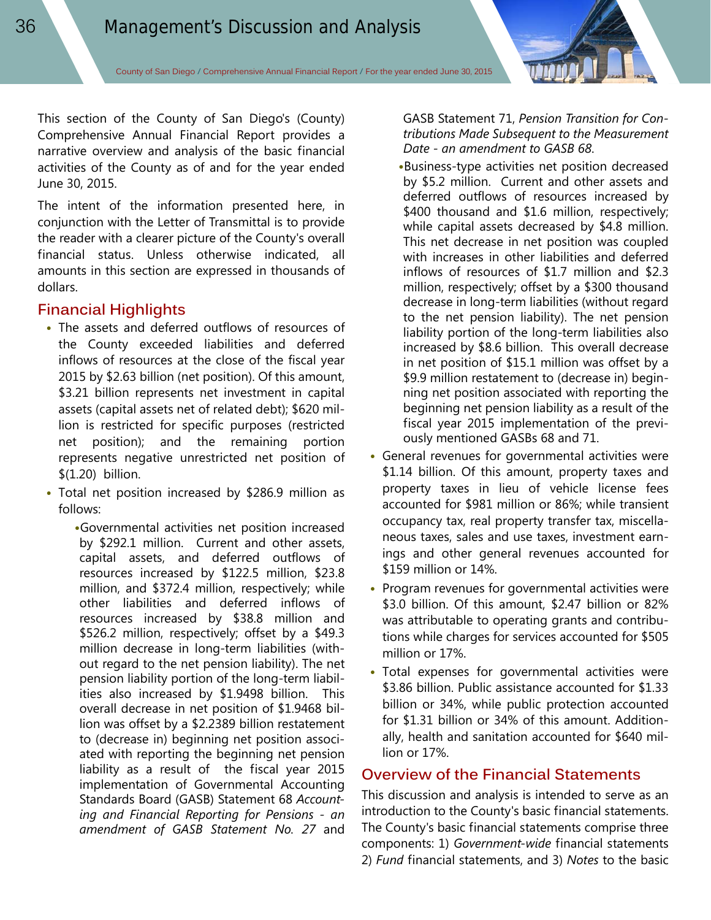This section of the County of San Diego's (County) Comprehensive Annual Financial Report provides a narrative overview and analysis of the basic financial activities of the County as of and for the year ended June 30, 2015.

The intent of the information presented here, in conjunction with the Letter of Transmittal is to provide the reader with a clearer picture of the County's overall financial status. Unless otherwise indicated, all amounts in this section are expressed in thousands of dollars.

### **Financial Highlights**

- The assets and deferred outflows of resources of the County exceeded liabilities and deferred inflows of resources at the close of the fiscal year 2015 by \$2.63 billion (net position). Of this amount, \$3.21 billion represents net investment in capital assets (capital assets net of related debt); \$620 million is restricted for specific purposes (restricted net position); and the remaining portion represents negative unrestricted net position of \$(1.20) billion.
- Total net position increased by \$286.9 million as follows:

•Governmental activities net position increased by \$292.1 million. Current and other assets, capital assets, and deferred outflows of resources increased by \$122.5 million, \$23.8 million, and \$372.4 million, respectively; while other liabilities and deferred inflows of resources increased by \$38.8 million and \$526.2 million, respectively; offset by a \$49.3 million decrease in long-term liabilities (without regard to the net pension liability). The net pension liability portion of the long-term liabilities also increased by \$1.9498 billion. This overall decrease in net position of \$1.9468 billion was offset by a \$2.2389 billion restatement to (decrease in) beginning net position associated with reporting the beginning net pension liability as a result of the fiscal year 2015 implementation of Governmental Accounting Standards Board (GASB) Statement 68 *Accounting and Financial Reporting for Pensions - an amendment of GASB Statement No. 27* and

GASB Statement 71, *Pension Transition for Contributions Made Subsequent to the Measurement Date - an amendment to GASB 68*.

- •Business-type activities net position decreased by \$5.2 million. Current and other assets and deferred outflows of resources increased by \$400 thousand and \$1.6 million, respectively; while capital assets decreased by \$4.8 million. This net decrease in net position was coupled with increases in other liabilities and deferred inflows of resources of \$1.7 million and \$2.3 million, respectively; offset by a \$300 thousand decrease in long-term liabilities (without regard to the net pension liability). The net pension liability portion of the long-term liabilities also increased by \$8.6 billion. This overall decrease in net position of \$15.1 million was offset by a \$9.9 million restatement to (decrease in) beginning net position associated with reporting the beginning net pension liability as a result of the fiscal year 2015 implementation of the previously mentioned GASBs 68 and 71.
- General revenues for governmental activities were \$1.14 billion. Of this amount, property taxes and property taxes in lieu of vehicle license fees accounted for \$981 million or 86%; while transient occupancy tax, real property transfer tax, miscellaneous taxes, sales and use taxes, investment earnings and other general revenues accounted for \$159 million or 14%.
- Program revenues for governmental activities were \$3.0 billion. Of this amount, \$2.47 billion or 82% was attributable to operating grants and contributions while charges for services accounted for \$505 million or 17%.
- Total expenses for governmental activities were \$3.86 billion. Public assistance accounted for \$1.33 billion or 34%, while public protection accounted for \$1.31 billion or 34% of this amount. Additionally, health and sanitation accounted for \$640 million or 17%.

### **Overview of the Financial Statements**

This discussion and analysis is intended to serve as an introduction to the County's basic financial statements. The County's basic financial statements comprise three components: 1) *Government-wide* financial statements 2) *Fund* financial statements, and 3) *Notes* to the basic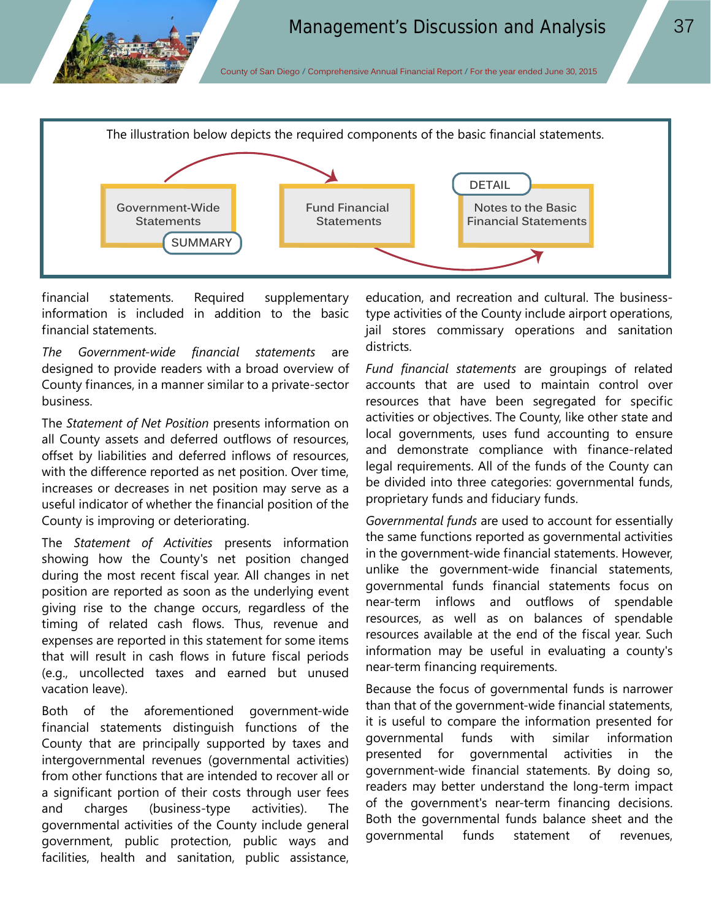

financial statements. Required supplementary information is included in addition to the basic financial statements.

*The Government-wide financial statements* are designed to provide readers with a broad overview of County finances, in a manner similar to a private-sector business.

The *Statement of Net Position* presents information on all County assets and deferred outflows of resources, offset by liabilities and deferred inflows of resources, with the difference reported as net position. Over time, increases or decreases in net position may serve as a useful indicator of whether the financial position of the County is improving or deteriorating.

The *Statement of Activities* presents information showing how the County's net position changed during the most recent fiscal year. All changes in net position are reported as soon as the underlying event giving rise to the change occurs, regardless of the timing of related cash flows. Thus, revenue and expenses are reported in this statement for some items that will result in cash flows in future fiscal periods (e.g., uncollected taxes and earned but unused vacation leave).

Both of the aforementioned government-wide financial statements distinguish functions of the County that are principally supported by taxes and intergovernmental revenues (governmental activities) from other functions that are intended to recover all or a significant portion of their costs through user fees and charges (business-type activities). The governmental activities of the County include general government, public protection, public ways and facilities, health and sanitation, public assistance, education, and recreation and cultural. The businesstype activities of the County include airport operations, jail stores commissary operations and sanitation districts.

*Fund financial statements* are groupings of related accounts that are used to maintain control over resources that have been segregated for specific activities or objectives. The County, like other state and local governments, uses fund accounting to ensure and demonstrate compliance with finance-related legal requirements. All of the funds of the County can be divided into three categories: governmental funds, proprietary funds and fiduciary funds.

*Governmental funds* are used to account for essentially the same functions reported as governmental activities in the government-wide financial statements. However, unlike the government-wide financial statements, governmental funds financial statements focus on near-term inflows and outflows of spendable resources, as well as on balances of spendable resources available at the end of the fiscal year. Such information may be useful in evaluating a county's near-term financing requirements.

Because the focus of governmental funds is narrower than that of the government-wide financial statements, it is useful to compare the information presented for governmental funds with similar information presented for governmental activities in the government-wide financial statements. By doing so, readers may better understand the long-term impact of the government's near-term financing decisions. Both the governmental funds balance sheet and the governmental funds statement of revenues,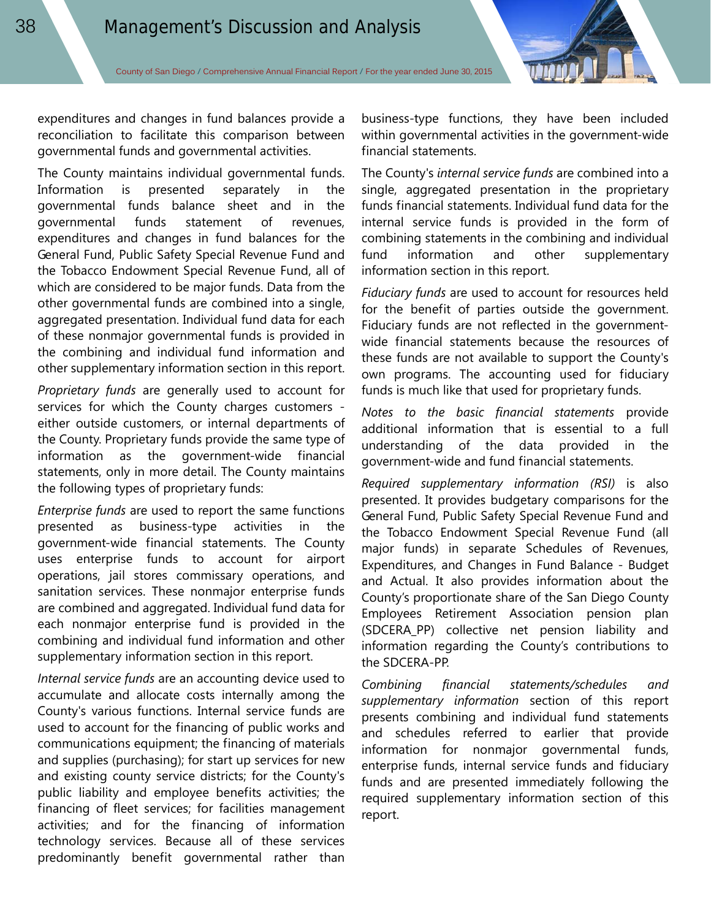expenditures and changes in fund balances provide a reconciliation to facilitate this comparison between governmental funds and governmental activities.

The County maintains individual governmental funds. Information is presented separately in the governmental funds balance sheet and in the governmental funds statement of revenues, expenditures and changes in fund balances for the General Fund, Public Safety Special Revenue Fund and the Tobacco Endowment Special Revenue Fund, all of which are considered to be major funds. Data from the other governmental funds are combined into a single, aggregated presentation. Individual fund data for each of these nonmajor governmental funds is provided in the combining and individual fund information and other supplementary information section in this report.

*Proprietary funds* are generally used to account for services for which the County charges customers either outside customers, or internal departments of the County. Proprietary funds provide the same type of information as the government-wide financial statements, only in more detail. The County maintains the following types of proprietary funds:

*Enterprise funds* are used to report the same functions presented as business-type activities in the government-wide financial statements. The County uses enterprise funds to account for airport operations, jail stores commissary operations, and sanitation services. These nonmajor enterprise funds are combined and aggregated. Individual fund data for each nonmajor enterprise fund is provided in the combining and individual fund information and other supplementary information section in this report.

*Internal service funds* are an accounting device used to accumulate and allocate costs internally among the County's various functions. Internal service funds are used to account for the financing of public works and communications equipment; the financing of materials and supplies (purchasing); for start up services for new and existing county service districts; for the County's public liability and employee benefits activities; the financing of fleet services; for facilities management activities; and for the financing of information technology services. Because all of these services predominantly benefit governmental rather than

business-type functions, they have been included within governmental activities in the government-wide financial statements.

The County's *internal service funds* are combined into a single, aggregated presentation in the proprietary funds financial statements. Individual fund data for the internal service funds is provided in the form of combining statements in the combining and individual fund information and other supplementary information section in this report.

*Fiduciary funds* are used to account for resources held for the benefit of parties outside the government. Fiduciary funds are not reflected in the governmentwide financial statements because the resources of these funds are not available to support the County's own programs. The accounting used for fiduciary funds is much like that used for proprietary funds.

*Notes to the basic financial statements* provide additional information that is essential to a full understanding of the data provided in the government-wide and fund financial statements.

*Required supplementary information (RSI)* is also presented. It provides budgetary comparisons for the General Fund, Public Safety Special Revenue Fund and the Tobacco Endowment Special Revenue Fund (all major funds) in separate Schedules of Revenues, Expenditures, and Changes in Fund Balance - Budget and Actual. It also provides information about the County's proportionate share of the San Diego County Employees Retirement Association pension plan (SDCERA\_PP) collective net pension liability and information regarding the County's contributions to the SDCERA-PP.

*Combining financial statements/schedules and supplementary information* section of this report presents combining and individual fund statements and schedules referred to earlier that provide information for nonmajor governmental funds, enterprise funds, internal service funds and fiduciary funds and are presented immediately following the required supplementary information section of this report.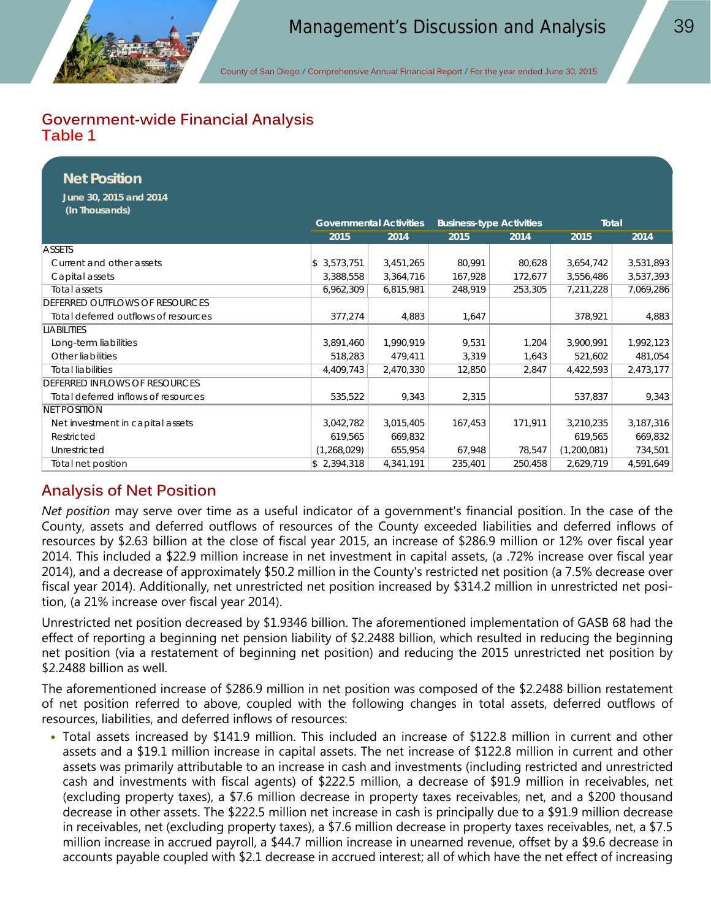## **Government-wide Financial Analysis Table 1**

| <b>Net Position</b>                      |             |                                |         |                                 |             |              |  |
|------------------------------------------|-------------|--------------------------------|---------|---------------------------------|-------------|--------------|--|
| June 30, 2015 and 2014<br>(In Thousands) |             |                                |         |                                 |             |              |  |
|                                          |             | <b>Governmental Activities</b> |         | <b>Business-type Activities</b> |             | <b>Total</b> |  |
|                                          | 2015        | 2014                           | 2015    | 2014                            | 2015        | 2014         |  |
| <b>ASSETS</b>                            |             |                                |         |                                 |             |              |  |
| Current and other assets                 | \$3,573,751 | 3,451,265                      | 80,991  | 80.628                          | 3,654,742   | 3,531,893    |  |
| Capital assets                           | 3,388,558   | 3,364,716                      | 167,928 | 172,677                         | 3,556,486   | 3,537,393    |  |
| <b>Total assets</b>                      | 6,962,309   | 6,815,981                      | 248,919 | 253,305                         | 7,211,228   | 7,069,286    |  |
| <b>DEFERRED OUTFLOWS OF RESOURCES</b>    |             |                                |         |                                 |             |              |  |
| Total deferred outflows of resources     | 377,274     | 4,883                          | 1.647   |                                 | 378,921     | 4,883        |  |
| <b>LIABILITIES</b>                       |             |                                |         |                                 |             |              |  |
| Long-term liabilities                    | 3,891,460   | 1,990,919                      | 9,531   | 1,204                           | 3,900,991   | 1,992,123    |  |
| Other liabilities                        | 518,283     | 479,411                        | 3,319   | 1,643                           | 521,602     | 481,054      |  |
| <b>Total liabilities</b>                 | 4,409,743   | 2,470,330                      | 12,850  | 2,847                           | 4,422,593   | 2,473,177    |  |
| DEFERRED INFLOWS OF RESOURCES            |             |                                |         |                                 |             |              |  |
| Total deferred inflows of resources      | 535,522     | 9,343                          | 2,315   |                                 | 537,837     | 9,343        |  |
| <b>NET POSITION</b>                      |             |                                |         |                                 |             |              |  |
| Net investment in capital assets         | 3,042,782   | 3,015,405                      | 167,453 | 171,911                         | 3,210,235   | 3,187,316    |  |
| Restricted                               | 619,565     | 669,832                        |         |                                 | 619,565     | 669,832      |  |
| Unrestricted                             | (1,268,029) | 655,954                        | 67,948  | 78,547                          | (1,200,081) | 734,501      |  |
| Total net position                       | \$2,394,318 | 4,341,191                      | 235,401 | 250,458                         | 2,629,719   | 4,591,649    |  |

## **Analysis of Net Position**

*Net position* may serve over time as a useful indicator of a government's financial position. In the case of the County, assets and deferred outflows of resources of the County exceeded liabilities and deferred inflows of resources by \$2.63 billion at the close of fiscal year 2015, an increase of \$286.9 million or 12% over fiscal year 2014. This included a \$22.9 million increase in net investment in capital assets, (a .72% increase over fiscal year 2014), and a decrease of approximately \$50.2 million in the County's restricted net position (a 7.5% decrease over fiscal year 2014). Additionally, net unrestricted net position increased by \$314.2 million in unrestricted net position, (a 21% increase over fiscal year 2014).

Unrestricted net position decreased by \$1.9346 billion. The aforementioned implementation of GASB 68 had the effect of reporting a beginning net pension liability of \$2.2488 billion, which resulted in reducing the beginning net position (via a restatement of beginning net position) and reducing the 2015 unrestricted net position by \$2.2488 billion as well.

The aforementioned increase of \$286.9 million in net position was composed of the \$2.2488 billion restatement of net position referred to above, coupled with the following changes in total assets, deferred outflows of resources, liabilities, and deferred inflows of resources:

• Total assets increased by \$141.9 million. This included an increase of \$122.8 million in current and other assets and a \$19.1 million increase in capital assets. The net increase of \$122.8 million in current and other assets was primarily attributable to an increase in cash and investments (including restricted and unrestricted cash and investments with fiscal agents) of \$222.5 million, a decrease of \$91.9 million in receivables, net (excluding property taxes), a \$7.6 million decrease in property taxes receivables, net, and a \$200 thousand decrease in other assets. The \$222.5 million net increase in cash is principally due to a \$91.9 million decrease in receivables, net (excluding property taxes), a \$7.6 million decrease in property taxes receivables, net, a \$7.5 million increase in accrued payroll, a \$44.7 million increase in unearned revenue, offset by a \$9.6 decrease in accounts payable coupled with \$2.1 decrease in accrued interest; all of which have the net effect of increasing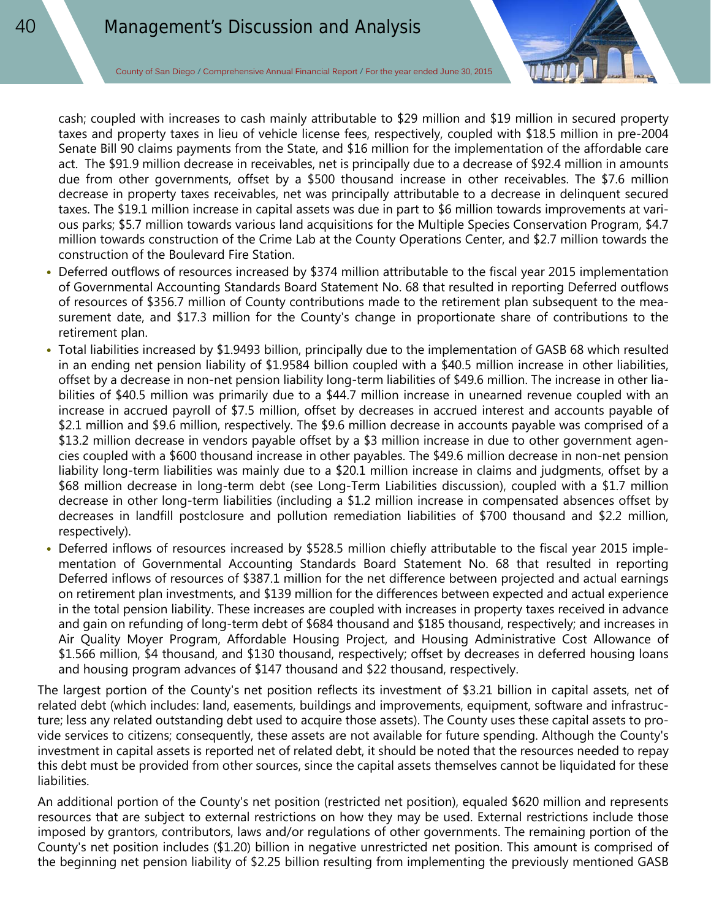cash; coupled with increases to cash mainly attributable to \$29 million and \$19 million in secured property taxes and property taxes in lieu of vehicle license fees, respectively, coupled with \$18.5 million in pre-2004 Senate Bill 90 claims payments from the State, and \$16 million for the implementation of the affordable care act. The \$91.9 million decrease in receivables, net is principally due to a decrease of \$92.4 million in amounts due from other governments, offset by a \$500 thousand increase in other receivables. The \$7.6 million decrease in property taxes receivables, net was principally attributable to a decrease in delinquent secured taxes. The \$19.1 million increase in capital assets was due in part to \$6 million towards improvements at various parks; \$5.7 million towards various land acquisitions for the Multiple Species Conservation Program, \$4.7 million towards construction of the Crime Lab at the County Operations Center, and \$2.7 million towards the construction of the Boulevard Fire Station.

- Deferred outflows of resources increased by \$374 million attributable to the fiscal year 2015 implementation of Governmental Accounting Standards Board Statement No. 68 that resulted in reporting Deferred outflows of resources of \$356.7 million of County contributions made to the retirement plan subsequent to the measurement date, and \$17.3 million for the County's change in proportionate share of contributions to the retirement plan.
- Total liabilities increased by \$1.9493 billion, principally due to the implementation of GASB 68 which resulted in an ending net pension liability of \$1.9584 billion coupled with a \$40.5 million increase in other liabilities, offset by a decrease in non-net pension liability long-term liabilities of \$49.6 million. The increase in other liabilities of \$40.5 million was primarily due to a \$44.7 million increase in unearned revenue coupled with an increase in accrued payroll of \$7.5 million, offset by decreases in accrued interest and accounts payable of \$2.1 million and \$9.6 million, respectively. The \$9.6 million decrease in accounts payable was comprised of a \$13.2 million decrease in vendors payable offset by a \$3 million increase in due to other government agencies coupled with a \$600 thousand increase in other payables. The \$49.6 million decrease in non-net pension liability long-term liabilities was mainly due to a \$20.1 million increase in claims and judgments, offset by a \$68 million decrease in long-term debt (see Long-Term Liabilities discussion), coupled with a \$1.7 million decrease in other long-term liabilities (including a \$1.2 million increase in compensated absences offset by decreases in landfill postclosure and pollution remediation liabilities of \$700 thousand and \$2.2 million, respectively).
- Deferred inflows of resources increased by \$528.5 million chiefly attributable to the fiscal year 2015 implementation of Governmental Accounting Standards Board Statement No. 68 that resulted in reporting Deferred inflows of resources of \$387.1 million for the net difference between projected and actual earnings on retirement plan investments, and \$139 million for the differences between expected and actual experience in the total pension liability. These increases are coupled with increases in property taxes received in advance and gain on refunding of long-term debt of \$684 thousand and \$185 thousand, respectively; and increases in Air Quality Moyer Program, Affordable Housing Project, and Housing Administrative Cost Allowance of \$1.566 million, \$4 thousand, and \$130 thousand, respectively; offset by decreases in deferred housing loans and housing program advances of \$147 thousand and \$22 thousand, respectively.

The largest portion of the County's net position reflects its investment of \$3.21 billion in capital assets, net of related debt (which includes: land, easements, buildings and improvements, equipment, software and infrastructure; less any related outstanding debt used to acquire those assets). The County uses these capital assets to provide services to citizens; consequently, these assets are not available for future spending. Although the County's investment in capital assets is reported net of related debt, it should be noted that the resources needed to repay this debt must be provided from other sources, since the capital assets themselves cannot be liquidated for these liabilities.

An additional portion of the County's net position (restricted net position), equaled \$620 million and represents resources that are subject to external restrictions on how they may be used. External restrictions include those imposed by grantors, contributors, laws and/or regulations of other governments. The remaining portion of the County's net position includes (\$1.20) billion in negative unrestricted net position. This amount is comprised of the beginning net pension liability of \$2.25 billion resulting from implementing the previously mentioned GASB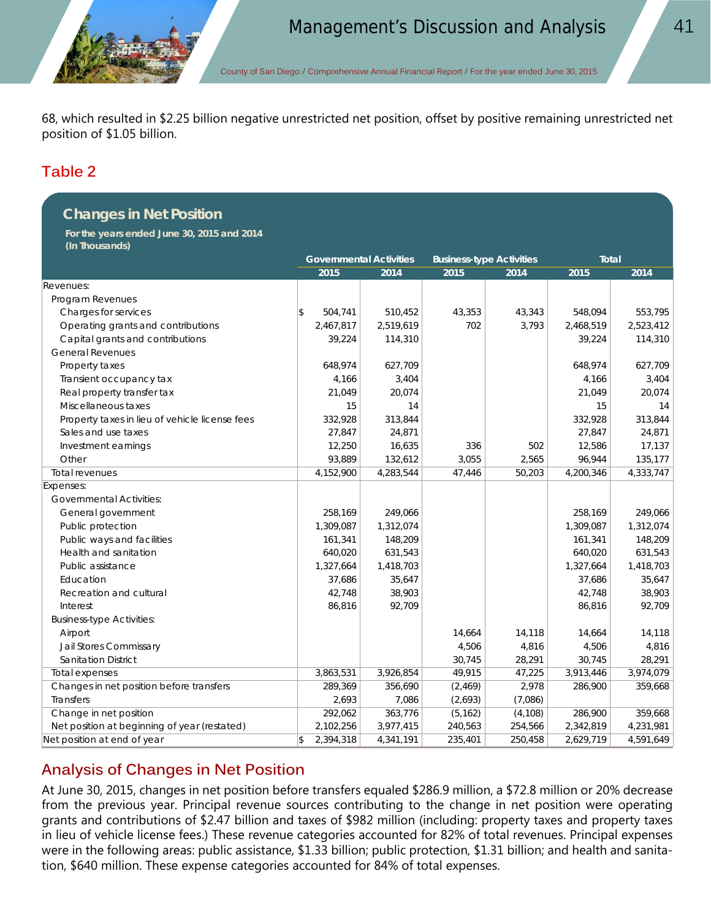68, which resulted in \$2.25 billion negative unrestricted net position, offset by positive remaining unrestricted net position of \$1.05 billion.

# **Table 2**

# **Changes in Net Position**

 **For the years ended June 30, 2015 and 2014 (In Thousands)**

|                                                | <b>Governmental Activities</b> |           | <b>Business-type Activities</b> |          | <b>Total</b> |           |           |
|------------------------------------------------|--------------------------------|-----------|---------------------------------|----------|--------------|-----------|-----------|
|                                                |                                | 2015      | 2014                            | 2015     | 2014         | 2015      | 2014      |
| Revenues:                                      |                                |           |                                 |          |              |           |           |
| Program Revenues                               |                                |           |                                 |          |              |           |           |
| Charges for services                           | \$                             | 504,741   | 510,452                         | 43,353   | 43,343       | 548,094   | 553,795   |
| Operating grants and contributions             |                                | 2,467,817 | 2,519,619                       | 702      | 3,793        | 2,468,519 | 2,523,412 |
| Capital grants and contributions               |                                | 39,224    | 114,310                         |          |              | 39,224    | 114,310   |
| <b>General Revenues</b>                        |                                |           |                                 |          |              |           |           |
| Property taxes                                 |                                | 648,974   | 627,709                         |          |              | 648,974   | 627,709   |
| Transient occupancy tax                        |                                | 4,166     | 3,404                           |          |              | 4,166     | 3,404     |
| Real property transfer tax                     |                                | 21,049    | 20,074                          |          |              | 21,049    | 20,074    |
| Miscellaneous taxes                            |                                | 15        | 14                              |          |              | 15        | 14        |
| Property taxes in lieu of vehicle license fees |                                | 332,928   | 313,844                         |          |              | 332,928   | 313,844   |
| Sales and use taxes                            |                                | 27,847    | 24,871                          |          |              | 27,847    | 24,871    |
| Investment earnings                            |                                | 12,250    | 16,635                          | 336      | 502          | 12,586    | 17,137    |
| Other                                          |                                | 93,889    | 132,612                         | 3,055    | 2,565        | 96,944    | 135,177   |
| Total revenues                                 |                                | 4,152,900 | 4,283,544                       | 47,446   | 50,203       | 4,200,346 | 4,333,747 |
| Expenses:                                      |                                |           |                                 |          |              |           |           |
| <b>Governmental Activities:</b>                |                                |           |                                 |          |              |           |           |
| General government                             |                                | 258,169   | 249,066                         |          |              | 258,169   | 249,066   |
| Public protection                              |                                | 1,309,087 | 1,312,074                       |          |              | 1,309,087 | 1,312,074 |
| Public ways and facilities                     |                                | 161,341   | 148,209                         |          |              | 161,341   | 148,209   |
| Health and sanitation                          |                                | 640,020   | 631,543                         |          |              | 640,020   | 631,543   |
| Public assistance                              |                                | 1,327,664 | 1,418,703                       |          |              | 1,327,664 | 1,418,703 |
| Education                                      |                                | 37,686    | 35,647                          |          |              | 37,686    | 35,647    |
| Recreation and cultural                        |                                | 42,748    | 38,903                          |          |              | 42,748    | 38,903    |
| Interest                                       |                                | 86,816    | 92,709                          |          |              | 86,816    | 92,709    |
| <b>Business-type Activities:</b>               |                                |           |                                 |          |              |           |           |
| Airport                                        |                                |           |                                 | 14,664   | 14,118       | 14,664    | 14,118    |
| Jail Stores Commissary                         |                                |           |                                 | 4,506    | 4,816        | 4,506     | 4,816     |
| <b>Sanitation District</b>                     |                                |           |                                 | 30,745   | 28,291       | 30,745    | 28,291    |
| <b>Total expenses</b>                          |                                | 3,863,531 | 3,926,854                       | 49,915   | 47,225       | 3,913,446 | 3,974,079 |
| Changes in net position before transfers       |                                | 289,369   | 356,690                         | (2, 469) | 2,978        | 286,900   | 359,668   |
| Transfers                                      |                                | 2,693     | 7,086                           | (2,693)  | (7,086)      |           |           |
| Change in net position                         |                                | 292,062   | 363,776                         | (5, 162) | (4, 108)     | 286,900   | 359,668   |
| Net position at beginning of year (restated)   |                                | 2,102,256 | 3,977,415                       | 240,563  | 254,566      | 2,342,819 | 4,231,981 |
| Net position at end of year                    | $\mathsf{\$}$                  | 2,394,318 | 4,341,191                       | 235,401  | 250,458      | 2,629,719 | 4,591,649 |

## **Analysis of Changes in Net Position**

At June 30, 2015, changes in net position before transfers equaled \$286.9 million, a \$72.8 million or 20% decrease from the previous year. Principal revenue sources contributing to the change in net position were operating grants and contributions of \$2.47 billion and taxes of \$982 million (including: property taxes and property taxes in lieu of vehicle license fees.) These revenue categories accounted for 82% of total revenues. Principal expenses were in the following areas: public assistance, \$1.33 billion; public protection, \$1.31 billion; and health and sanitation, \$640 million. These expense categories accounted for 84% of total expenses.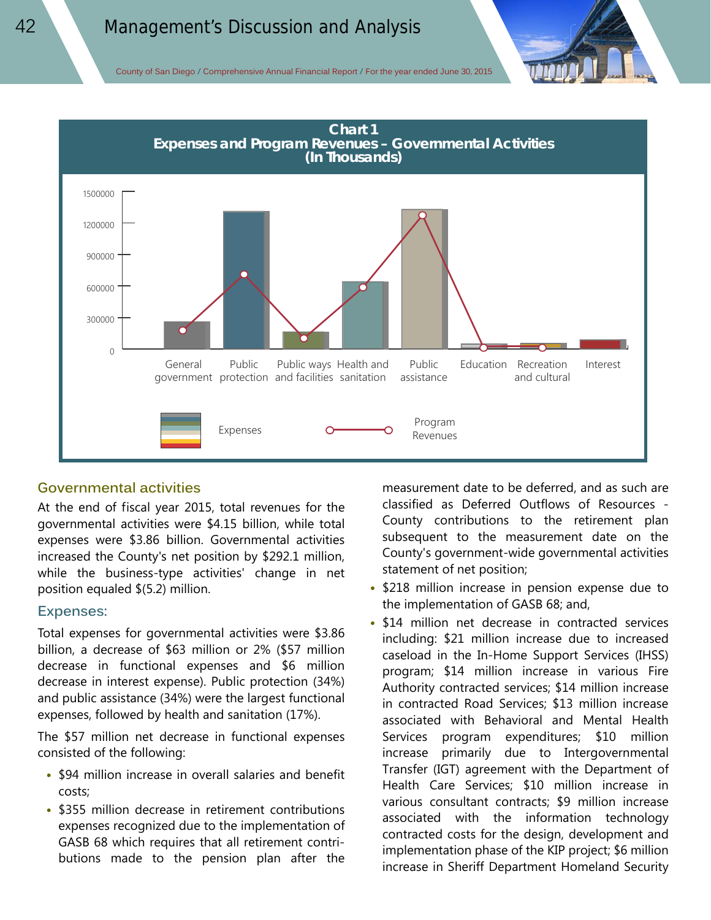County of San Diego **/** Comprehensive Annual Financial Report **/** For the year ended June 30, 2015



### **Governmental activities**

At the end of fiscal year 2015, total revenues for the governmental activities were \$4.15 billion, while total expenses were \$3.86 billion. Governmental activities increased the County's net position by \$292.1 million, while the business-type activities' change in net position equaled \$(5.2) million.

#### **Expenses:**

Total expenses for governmental activities were \$3.86 billion, a decrease of \$63 million or 2% (\$57 million decrease in functional expenses and \$6 million decrease in interest expense). Public protection (34%) and public assistance (34%) were the largest functional expenses, followed by health and sanitation (17%).

The \$57 million net decrease in functional expenses consisted of the following:

- \$94 million increase in overall salaries and benefit costs;
- \$355 million decrease in retirement contributions expenses recognized due to the implementation of GASB 68 which requires that all retirement contributions made to the pension plan after the

measurement date to be deferred, and as such are classified as Deferred Outflows of Resources - County contributions to the retirement plan subsequent to the measurement date on the County's government-wide governmental activities statement of net position;

- \$218 million increase in pension expense due to the implementation of GASB 68; and,
- \$14 million net decrease in contracted services including: \$21 million increase due to increased caseload in the In-Home Support Services (IHSS) program; \$14 million increase in various Fire Authority contracted services; \$14 million increase in contracted Road Services; \$13 million increase associated with Behavioral and Mental Health Services program expenditures; \$10 million increase primarily due to Intergovernmental Transfer (IGT) agreement with the Department of Health Care Services; \$10 million increase in various consultant contracts; \$9 million increase associated with the information technology contracted costs for the design, development and implementation phase of the KIP project; \$6 million increase in Sheriff Department Homeland Security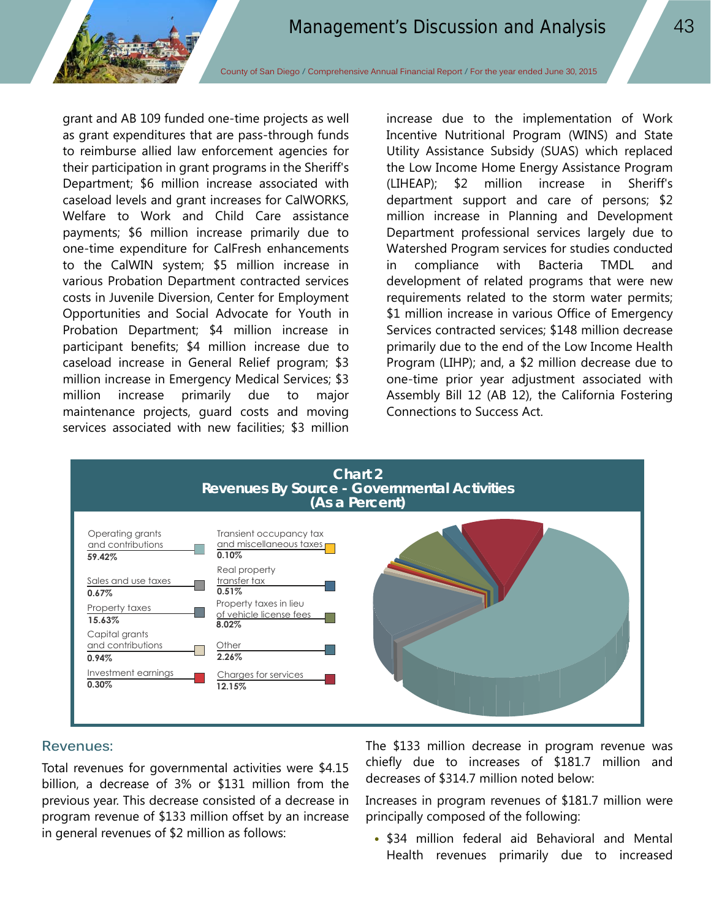grant and AB 109 funded one-time projects as well as grant expenditures that are pass-through funds to reimburse allied law enforcement agencies for their participation in grant programs in the Sheriff's Department; \$6 million increase associated with caseload levels and grant increases for CalWORKS, Welfare to Work and Child Care assistance payments; \$6 million increase primarily due to one-time expenditure for CalFresh enhancements to the CalWIN system; \$5 million increase in various Probation Department contracted services costs in Juvenile Diversion, Center for Employment Opportunities and Social Advocate for Youth in Probation Department; \$4 million increase in participant benefits; \$4 million increase due to caseload increase in General Relief program; \$3 million increase in Emergency Medical Services; \$3 million increase primarily due to major maintenance projects, guard costs and moving services associated with new facilities; \$3 million increase due to the implementation of Work Incentive Nutritional Program (WINS) and State Utility Assistance Subsidy (SUAS) which replaced the Low Income Home Energy Assistance Program (LIHEAP); \$2 million increase in Sheriff's department support and care of persons; \$2 million increase in Planning and Development Department professional services largely due to Watershed Program services for studies conducted in compliance with Bacteria TMDL and development of related programs that were new requirements related to the storm water permits; \$1 million increase in various Office of Emergency Services contracted services; \$148 million decrease primarily due to the end of the Low Income Health Program (LIHP); and, a \$2 million decrease due to one-time prior year adjustment associated with Assembly Bill 12 (AB 12), the California Fostering Connections to Success Act.



### **Revenues:**

Total revenues for governmental activities were \$4.15 billion, a decrease of 3% or \$131 million from the previous year. This decrease consisted of a decrease in program revenue of \$133 million offset by an increase in general revenues of \$2 million as follows:

The \$133 million decrease in program revenue was chiefly due to increases of \$181.7 million and decreases of \$314.7 million noted below:

Increases in program revenues of \$181.7 million were principally composed of the following:

• \$34 million federal aid Behavioral and Mental Health revenues primarily due to increased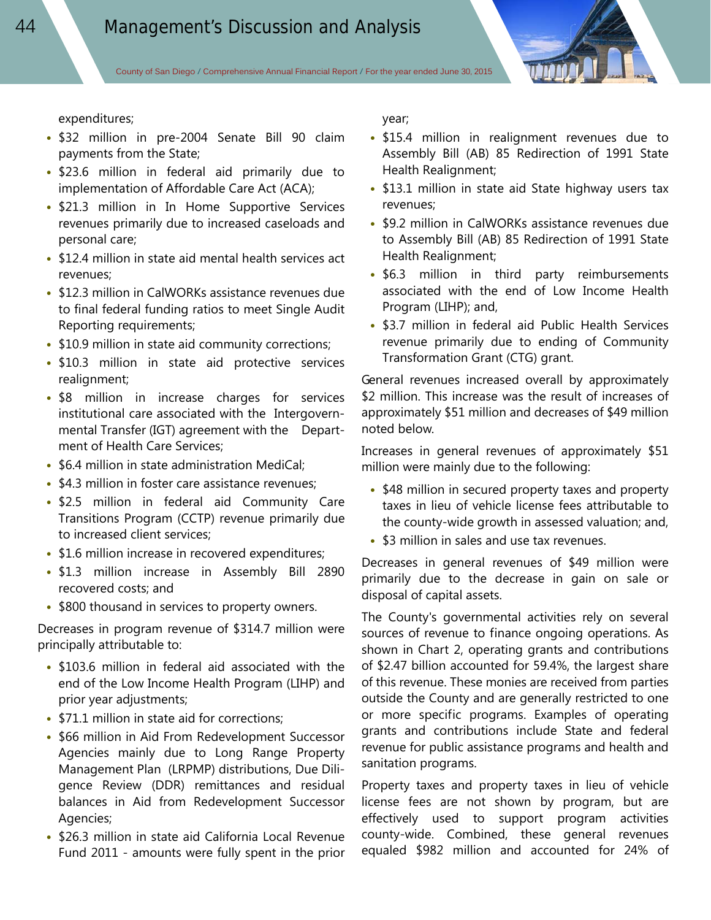County of San Diego **/** Comprehensive Annual Financial Report **/** For the year ended June 30, 2015

expenditures;

- \$32 million in pre-2004 Senate Bill 90 claim payments from the State;
- \$23.6 million in federal aid primarily due to implementation of Affordable Care Act (ACA);
- \$21.3 million in In Home Supportive Services revenues primarily due to increased caseloads and personal care;
- \$12.4 million in state aid mental health services act revenues;
- \$12.3 million in CalWORKs assistance revenues due to final federal funding ratios to meet Single Audit Reporting requirements;
- \$10.9 million in state aid community corrections;
- \$10.3 million in state aid protective services realignment;
- \$8 million in increase charges for services institutional care associated with the Intergovernmental Transfer (IGT) agreement with the Department of Health Care Services;
- \$6.4 million in state administration MediCal;
- \$4.3 million in foster care assistance revenues:
- \$2.5 million in federal aid Community Care Transitions Program (CCTP) revenue primarily due to increased client services;
- \$1.6 million increase in recovered expenditures;
- \$1.3 million increase in Assembly Bill 2890 recovered costs; and
- \$800 thousand in services to property owners.

Decreases in program revenue of \$314.7 million were principally attributable to:

- \$103.6 million in federal aid associated with the end of the Low Income Health Program (LIHP) and prior year adjustments;
- \$71.1 million in state aid for corrections:
- \$66 million in Aid From Redevelopment Successor Agencies mainly due to Long Range Property Management Plan (LRPMP) distributions, Due Diligence Review (DDR) remittances and residual balances in Aid from Redevelopment Successor Agencies;
- \$26.3 million in state aid California Local Revenue Fund 2011 - amounts were fully spent in the prior

year;

- \$15.4 million in realignment revenues due to Assembly Bill (AB) 85 Redirection of 1991 State Health Realignment;
- \$13.1 million in state aid State highway users tax revenues;
- \$9.2 million in CalWORKs assistance revenues due to Assembly Bill (AB) 85 Redirection of 1991 State Health Realignment;
- \$6.3 million in third party reimbursements associated with the end of Low Income Health Program (LIHP); and,
- \$3.7 million in federal aid Public Health Services revenue primarily due to ending of Community Transformation Grant (CTG) grant.

General revenues increased overall by approximately \$2 million. This increase was the result of increases of approximately \$51 million and decreases of \$49 million noted below.

Increases in general revenues of approximately \$51 million were mainly due to the following:

- \$48 million in secured property taxes and property taxes in lieu of vehicle license fees attributable to the county-wide growth in assessed valuation; and,
- \$3 million in sales and use tax revenues

Decreases in general revenues of \$49 million were primarily due to the decrease in gain on sale or disposal of capital assets.

The County's governmental activities rely on several sources of revenue to finance ongoing operations. As shown in Chart 2, operating grants and contributions of \$2.47 billion accounted for 59.4%, the largest share of this revenue. These monies are received from parties outside the County and are generally restricted to one or more specific programs. Examples of operating grants and contributions include State and federal revenue for public assistance programs and health and sanitation programs.

Property taxes and property taxes in lieu of vehicle license fees are not shown by program, but are effectively used to support program activities county-wide. Combined, these general revenues equaled \$982 million and accounted for 24% of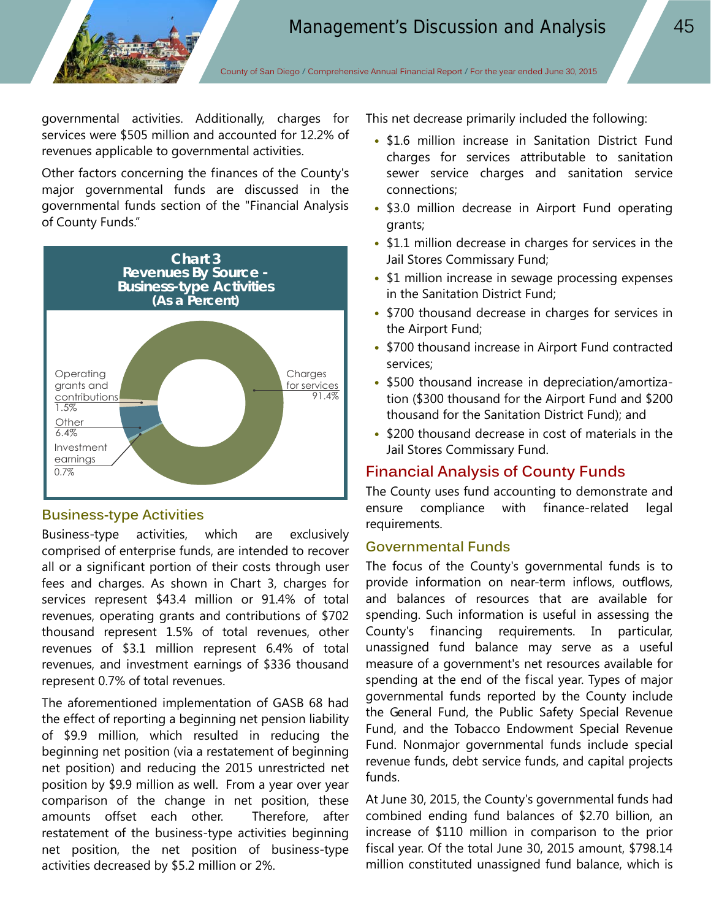

governmental activities. Additionally, charges for services were \$505 million and accounted for 12.2% of revenues applicable to governmental activities.

Other factors concerning the finances of the County's major governmental funds are discussed in the governmental funds section of the "Financial Analysis of County Funds."



#### **Business-type Activities**

Business-type activities, which are exclusively comprised of enterprise funds, are intended to recover all or a significant portion of their costs through user fees and charges. As shown in Chart 3, charges for services represent \$43.4 million or 91.4% of total revenues, operating grants and contributions of \$702 thousand represent 1.5% of total revenues, other revenues of \$3.1 million represent 6.4% of total revenues, and investment earnings of \$336 thousand represent 0.7% of total revenues.

The aforementioned implementation of GASB 68 had the effect of reporting a beginning net pension liability of \$9.9 million, which resulted in reducing the beginning net position (via a restatement of beginning net position) and reducing the 2015 unrestricted net position by \$9.9 million as well. From a year over year comparison of the change in net position, these amounts offset each other. Therefore, after restatement of the business-type activities beginning net position, the net position of business-type activities decreased by \$5.2 million or 2%.

This net decrease primarily included the following:

- \$1.6 million increase in Sanitation District Fund charges for services attributable to sanitation sewer service charges and sanitation service connections;
- \$3.0 million decrease in Airport Fund operating grants;
- \$1.1 million decrease in charges for services in the Jail Stores Commissary Fund;
- \$1 million increase in sewage processing expenses in the Sanitation District Fund;
- \$700 thousand decrease in charges for services in the Airport Fund;
- \$700 thousand increase in Airport Fund contracted services;
- \$500 thousand increase in depreciation/amortization (\$300 thousand for the Airport Fund and \$200 thousand for the Sanitation District Fund); and
- \$200 thousand decrease in cost of materials in the Jail Stores Commissary Fund.

### **Financial Analysis of County Funds**

The County uses fund accounting to demonstrate and ensure compliance with finance-related legal requirements.

#### **Governmental Funds**

The focus of the County's governmental funds is to provide information on near-term inflows, outflows, and balances of resources that are available for spending. Such information is useful in assessing the County's financing requirements. In particular, unassigned fund balance may serve as a useful measure of a government's net resources available for spending at the end of the fiscal year. Types of major governmental funds reported by the County include the General Fund, the Public Safety Special Revenue Fund, and the Tobacco Endowment Special Revenue Fund. Nonmajor governmental funds include special revenue funds, debt service funds, and capital projects funds.

At June 30, 2015, the County's governmental funds had combined ending fund balances of \$2.70 billion, an increase of \$110 million in comparison to the prior fiscal year. Of the total June 30, 2015 amount, \$798.14 million constituted unassigned fund balance, which is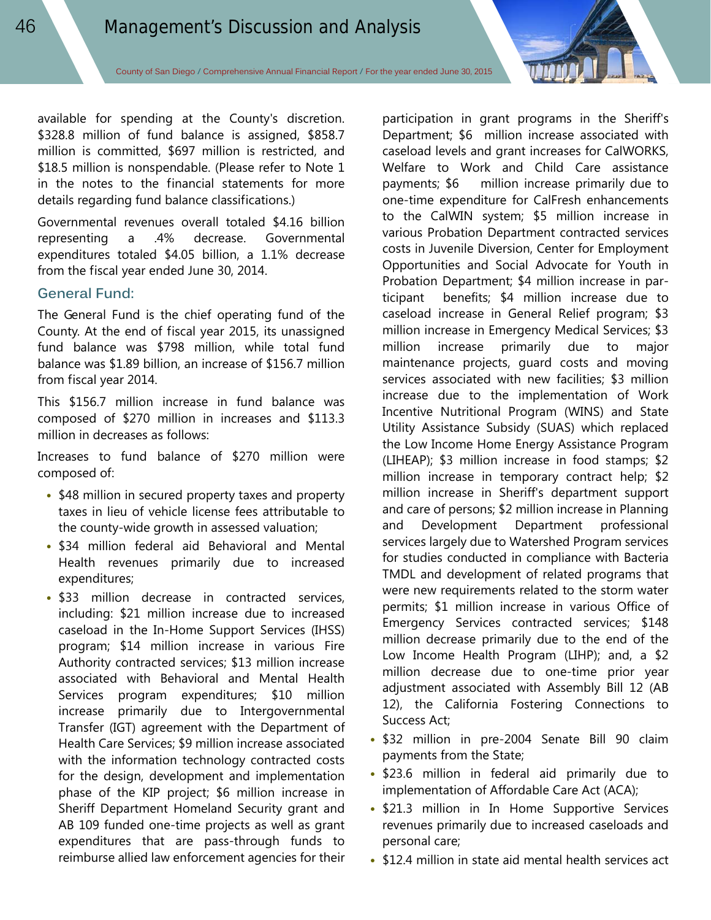available for spending at the County's discretion. \$328.8 million of fund balance is assigned, \$858.7 million is committed, \$697 million is restricted, and \$18.5 million is nonspendable. (Please refer to Note 1 in the notes to the financial statements for more details regarding fund balance classifications.)

Governmental revenues overall totaled \$4.16 billion representing a .4% decrease. Governmental expenditures totaled \$4.05 billion, a 1.1% decrease from the fiscal year ended June 30, 2014.

#### **General Fund:**

The General Fund is the chief operating fund of the County. At the end of fiscal year 2015, its unassigned fund balance was \$798 million, while total fund balance was \$1.89 billion, an increase of \$156.7 million from fiscal year 2014.

This \$156.7 million increase in fund balance was composed of \$270 million in increases and \$113.3 million in decreases as follows:

Increases to fund balance of \$270 million were composed of:

- \$48 million in secured property taxes and property taxes in lieu of vehicle license fees attributable to the county-wide growth in assessed valuation;
- \$34 million federal aid Behavioral and Mental Health revenues primarily due to increased expenditures;
- \$33 million decrease in contracted services, including: \$21 million increase due to increased caseload in the In-Home Support Services (IHSS) program; \$14 million increase in various Fire Authority contracted services; \$13 million increase associated with Behavioral and Mental Health Services program expenditures; \$10 million increase primarily due to Intergovernmental Transfer (IGT) agreement with the Department of Health Care Services; \$9 million increase associated with the information technology contracted costs for the design, development and implementation phase of the KIP project; \$6 million increase in Sheriff Department Homeland Security grant and AB 109 funded one-time projects as well as grant expenditures that are pass-through funds to reimburse allied law enforcement agencies for their

participation in grant programs in the Sheriff's Department; \$6 million increase associated with caseload levels and grant increases for CalWORKS, Welfare to Work and Child Care assistance payments; \$6 million increase primarily due to one-time expenditure for CalFresh enhancements to the CalWIN system; \$5 million increase in various Probation Department contracted services costs in Juvenile Diversion, Center for Employment Opportunities and Social Advocate for Youth in Probation Department; \$4 million increase in participant benefits; \$4 million increase due to caseload increase in General Relief program; \$3 million increase in Emergency Medical Services; \$3 million increase primarily due to major maintenance projects, guard costs and moving services associated with new facilities; \$3 million increase due to the implementation of Work Incentive Nutritional Program (WINS) and State Utility Assistance Subsidy (SUAS) which replaced the Low Income Home Energy Assistance Program (LIHEAP); \$3 million increase in food stamps; \$2 million increase in temporary contract help; \$2 million increase in Sheriff's department support and care of persons; \$2 million increase in Planning and Development Department professional services largely due to Watershed Program services for studies conducted in compliance with Bacteria TMDL and development of related programs that were new requirements related to the storm water permits; \$1 million increase in various Office of Emergency Services contracted services; \$148 million decrease primarily due to the end of the Low Income Health Program (LIHP); and, a \$2 million decrease due to one-time prior year adjustment associated with Assembly Bill 12 (AB 12), the California Fostering Connections to Success Act;

- \$32 million in pre-2004 Senate Bill 90 claim payments from the State;
- \$23.6 million in federal aid primarily due to implementation of Affordable Care Act (ACA);
- \$21.3 million in In Home Supportive Services revenues primarily due to increased caseloads and personal care;
- \$12.4 million in state aid mental health services act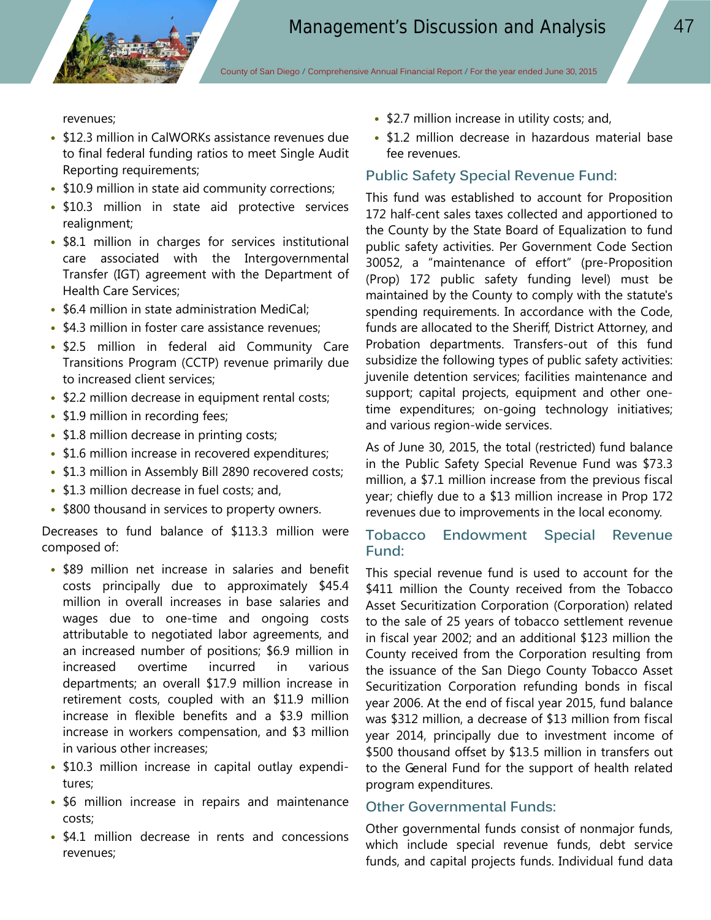County of San Diego **/** Comprehensive Annual Financial Report **/** For the year ended June 30, 2015

revenues;

- \$12.3 million in CalWORKs assistance revenues due to final federal funding ratios to meet Single Audit Reporting requirements;
- \$10.9 million in state aid community corrections;
- \$10.3 million in state aid protective services realignment;
- \$8.1 million in charges for services institutional care associated with the Intergovernmental Transfer (IGT) agreement with the Department of Health Care Services;
- \$6.4 million in state administration MediCal;
- \$4.3 million in foster care assistance revenues:
- \$2.5 million in federal aid Community Care Transitions Program (CCTP) revenue primarily due to increased client services;
- \$2.2 million decrease in equipment rental costs;
- \$1.9 million in recording fees;
- \$1.8 million decrease in printing costs;
- \$1.6 million increase in recovered expenditures;
- \$1.3 million in Assembly Bill 2890 recovered costs;
- \$1.3 million decrease in fuel costs; and,
- \$800 thousand in services to property owners.

Decreases to fund balance of \$113.3 million were composed of:

- \$89 million net increase in salaries and benefit costs principally due to approximately \$45.4 million in overall increases in base salaries and wages due to one-time and ongoing costs attributable to negotiated labor agreements, and an increased number of positions; \$6.9 million in increased overtime incurred in various departments; an overall \$17.9 million increase in retirement costs, coupled with an \$11.9 million increase in flexible benefits and a \$3.9 million increase in workers compensation, and \$3 million in various other increases;
- \$10.3 million increase in capital outlay expenditures;
- \$6 million increase in repairs and maintenance costs;
- \$4.1 million decrease in rents and concessions revenues;
- \$2.7 million increase in utility costs; and,
- \$1.2 million decrease in hazardous material base fee revenues.

#### **Public Safety Special Revenue Fund:**

This fund was established to account for Proposition 172 half-cent sales taxes collected and apportioned to the County by the State Board of Equalization to fund public safety activities. Per Government Code Section 30052, a "maintenance of effort" (pre-Proposition (Prop) 172 public safety funding level) must be maintained by the County to comply with the statute's spending requirements. In accordance with the Code, funds are allocated to the Sheriff, District Attorney, and Probation departments. Transfers-out of this fund subsidize the following types of public safety activities: juvenile detention services; facilities maintenance and support; capital projects, equipment and other onetime expenditures; on-going technology initiatives; and various region-wide services.

As of June 30, 2015, the total (restricted) fund balance in the Public Safety Special Revenue Fund was \$73.3 million, a \$7.1 million increase from the previous fiscal year; chiefly due to a \$13 million increase in Prop 172 revenues due to improvements in the local economy.

### **Tobacco Endowment Special Revenue Fund:**

This special revenue fund is used to account for the \$411 million the County received from the Tobacco Asset Securitization Corporation (Corporation) related to the sale of 25 years of tobacco settlement revenue in fiscal year 2002; and an additional \$123 million the County received from the Corporation resulting from the issuance of the San Diego County Tobacco Asset Securitization Corporation refunding bonds in fiscal year 2006. At the end of fiscal year 2015, fund balance was \$312 million, a decrease of \$13 million from fiscal year 2014, principally due to investment income of \$500 thousand offset by \$13.5 million in transfers out to the General Fund for the support of health related program expenditures.

#### **Other Governmental Funds:**

Other governmental funds consist of nonmajor funds, which include special revenue funds, debt service funds, and capital projects funds. Individual fund data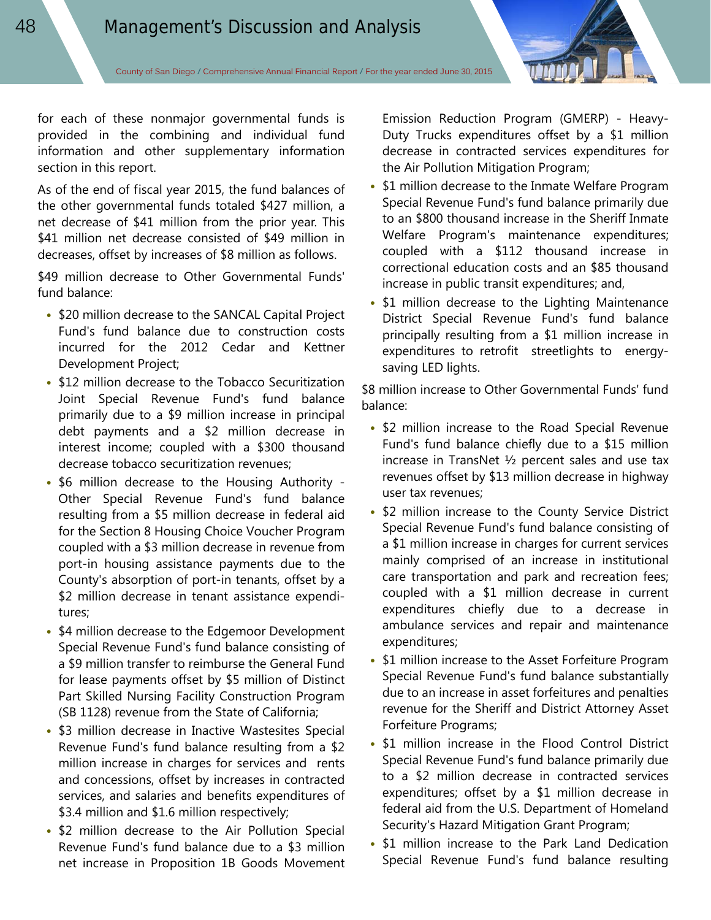for each of these nonmajor governmental funds is provided in the combining and individual fund information and other supplementary information section in this report.

As of the end of fiscal year 2015, the fund balances of the other governmental funds totaled \$427 million, a net decrease of \$41 million from the prior year. This \$41 million net decrease consisted of \$49 million in decreases, offset by increases of \$8 million as follows.

\$49 million decrease to Other Governmental Funds' fund balance:

- \$20 million decrease to the SANCAL Capital Project Fund's fund balance due to construction costs incurred for the 2012 Cedar and Kettner Development Project;
- \$12 million decrease to the Tobacco Securitization Joint Special Revenue Fund's fund balance primarily due to a \$9 million increase in principal debt payments and a \$2 million decrease in interest income; coupled with a \$300 thousand decrease tobacco securitization revenues;
- \$6 million decrease to the Housing Authority Other Special Revenue Fund's fund balance resulting from a \$5 million decrease in federal aid for the Section 8 Housing Choice Voucher Program coupled with a \$3 million decrease in revenue from port-in housing assistance payments due to the County's absorption of port-in tenants, offset by a \$2 million decrease in tenant assistance expenditures;
- \$4 million decrease to the Edgemoor Development Special Revenue Fund's fund balance consisting of a \$9 million transfer to reimburse the General Fund for lease payments offset by \$5 million of Distinct Part Skilled Nursing Facility Construction Program (SB 1128) revenue from the State of California;
- \$3 million decrease in Inactive Wastesites Special Revenue Fund's fund balance resulting from a \$2 million increase in charges for services and rents and concessions, offset by increases in contracted services, and salaries and benefits expenditures of \$3.4 million and \$1.6 million respectively;
- \$2 million decrease to the Air Pollution Special Revenue Fund's fund balance due to a \$3 million net increase in Proposition 1B Goods Movement

Emission Reduction Program (GMERP) - Heavy-Duty Trucks expenditures offset by a \$1 million decrease in contracted services expenditures for the Air Pollution Mitigation Program;

- \$1 million decrease to the Inmate Welfare Program Special Revenue Fund's fund balance primarily due to an \$800 thousand increase in the Sheriff Inmate Welfare Program's maintenance expenditures; coupled with a \$112 thousand increase in correctional education costs and an \$85 thousand increase in public transit expenditures; and,
- \$1 million decrease to the Lighting Maintenance District Special Revenue Fund's fund balance principally resulting from a \$1 million increase in expenditures to retrofit streetlights to energysaving LED lights.

\$8 million increase to Other Governmental Funds' fund balance:

- \$2 million increase to the Road Special Revenue Fund's fund balance chiefly due to a \$15 million increase in TransNet ½ percent sales and use tax revenues offset by \$13 million decrease in highway user tax revenues;
- \$2 million increase to the County Service District Special Revenue Fund's fund balance consisting of a \$1 million increase in charges for current services mainly comprised of an increase in institutional care transportation and park and recreation fees; coupled with a \$1 million decrease in current expenditures chiefly due to a decrease in ambulance services and repair and maintenance expenditures;
- \$1 million increase to the Asset Forfeiture Program Special Revenue Fund's fund balance substantially due to an increase in asset forfeitures and penalties revenue for the Sheriff and District Attorney Asset Forfeiture Programs;
- \$1 million increase in the Flood Control District Special Revenue Fund's fund balance primarily due to a \$2 million decrease in contracted services expenditures; offset by a \$1 million decrease in federal aid from the U.S. Department of Homeland Security's Hazard Mitigation Grant Program;
- \$1 million increase to the Park Land Dedication Special Revenue Fund's fund balance resulting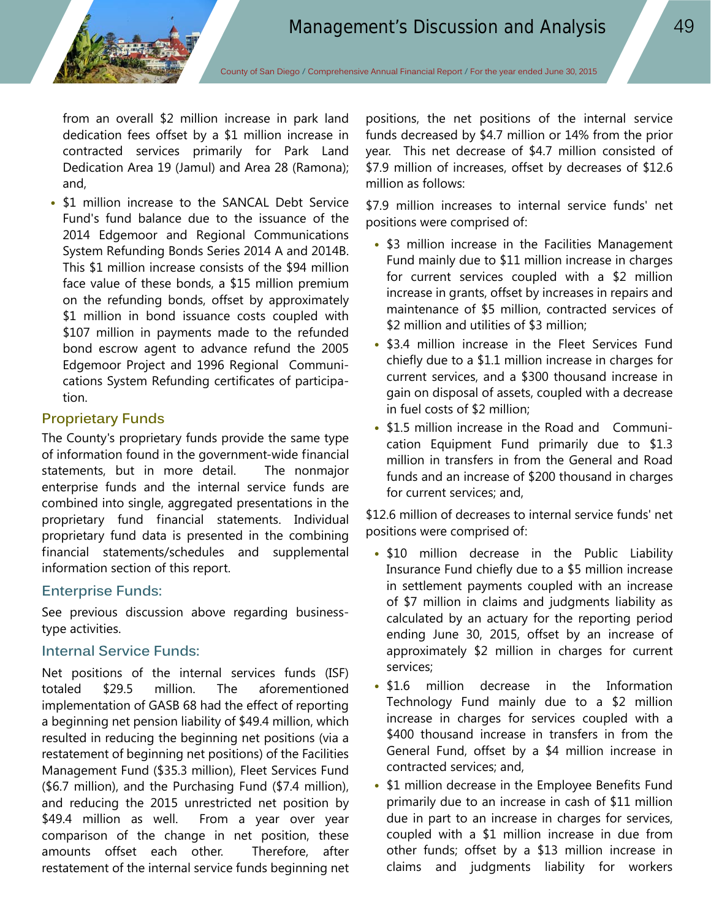from an overall \$2 million increase in park land dedication fees offset by a \$1 million increase in contracted services primarily for Park Land Dedication Area 19 (Jamul) and Area 28 (Ramona); and,

• \$1 million increase to the SANCAL Debt Service Fund's fund balance due to the issuance of the 2014 Edgemoor and Regional Communications System Refunding Bonds Series 2014 A and 2014B. This \$1 million increase consists of the \$94 million face value of these bonds, a \$15 million premium on the refunding bonds, offset by approximately \$1 million in bond issuance costs coupled with \$107 million in payments made to the refunded bond escrow agent to advance refund the 2005 Edgemoor Project and 1996 Regional Communications System Refunding certificates of participation.

#### **Proprietary Funds**

The County's proprietary funds provide the same type of information found in the government-wide financial statements, but in more detail. The nonmajor enterprise funds and the internal service funds are combined into single, aggregated presentations in the proprietary fund financial statements. Individual proprietary fund data is presented in the combining financial statements/schedules and supplemental information section of this report.

#### **Enterprise Funds:**

See previous discussion above regarding businesstype activities.

### **Internal Service Funds:**

Net positions of the internal services funds (ISF) totaled \$29.5 million. The aforementioned implementation of GASB 68 had the effect of reporting a beginning net pension liability of \$49.4 million, which resulted in reducing the beginning net positions (via a restatement of beginning net positions) of the Facilities Management Fund (\$35.3 million), Fleet Services Fund (\$6.7 million), and the Purchasing Fund (\$7.4 million), and reducing the 2015 unrestricted net position by \$49.4 million as well. From a year over year comparison of the change in net position, these amounts offset each other. Therefore, after restatement of the internal service funds beginning net positions, the net positions of the internal service funds decreased by \$4.7 million or 14% from the prior year. This net decrease of \$4.7 million consisted of \$7.9 million of increases, offset by decreases of \$12.6 million as follows:

\$7.9 million increases to internal service funds' net positions were comprised of:

- \$3 million increase in the Facilities Management Fund mainly due to \$11 million increase in charges for current services coupled with a \$2 million increase in grants, offset by increases in repairs and maintenance of \$5 million, contracted services of \$2 million and utilities of \$3 million;
- \$3.4 million increase in the Fleet Services Fund chiefly due to a \$1.1 million increase in charges for current services, and a \$300 thousand increase in gain on disposal of assets, coupled with a decrease in fuel costs of \$2 million;
- \$1.5 million increase in the Road and Communication Equipment Fund primarily due to \$1.3 million in transfers in from the General and Road funds and an increase of \$200 thousand in charges for current services; and,

\$12.6 million of decreases to internal service funds' net positions were comprised of:

- \$10 million decrease in the Public Liability Insurance Fund chiefly due to a \$5 million increase in settlement payments coupled with an increase of \$7 million in claims and judgments liability as calculated by an actuary for the reporting period ending June 30, 2015, offset by an increase of approximately \$2 million in charges for current services;
- \$1.6 million decrease in the Information Technology Fund mainly due to a \$2 million increase in charges for services coupled with a \$400 thousand increase in transfers in from the General Fund, offset by a \$4 million increase in contracted services; and,
- \$1 million decrease in the Employee Benefits Fund primarily due to an increase in cash of \$11 million due in part to an increase in charges for services, coupled with a \$1 million increase in due from other funds; offset by a \$13 million increase in claims and judgments liability for workers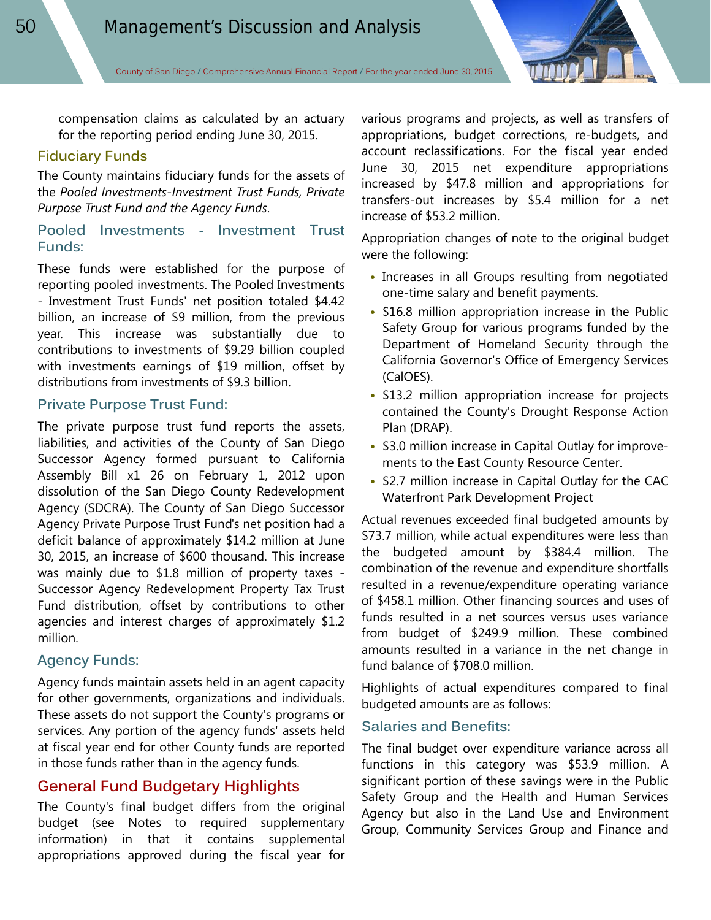compensation claims as calculated by an actuary for the reporting period ending June 30, 2015.

### **Fiduciary Funds**

The County maintains fiduciary funds for the assets of the *Pooled Investments-Investment Trust Funds, Private Purpose Trust Fund and the Agency Funds*.

## **Pooled Investments - Investment Trust Funds:**

These funds were established for the purpose of reporting pooled investments. The Pooled Investments - Investment Trust Funds' net position totaled \$4.42 billion, an increase of \$9 million, from the previous year. This increase was substantially due to contributions to investments of \$9.29 billion coupled with investments earnings of \$19 million, offset by distributions from investments of \$9.3 billion.

### **Private Purpose Trust Fund:**

The private purpose trust fund reports the assets, liabilities, and activities of the County of San Diego Successor Agency formed pursuant to California Assembly Bill x1 26 on February 1, 2012 upon dissolution of the San Diego County Redevelopment Agency (SDCRA). The County of San Diego Successor Agency Private Purpose Trust Fund's net position had a deficit balance of approximately \$14.2 million at June 30, 2015, an increase of \$600 thousand. This increase was mainly due to \$1.8 million of property taxes - Successor Agency Redevelopment Property Tax Trust Fund distribution, offset by contributions to other agencies and interest charges of approximately \$1.2 million.

### **Agency Funds:**

Agency funds maintain assets held in an agent capacity for other governments, organizations and individuals. These assets do not support the County's programs or services. Any portion of the agency funds' assets held at fiscal year end for other County funds are reported in those funds rather than in the agency funds.

## **General Fund Budgetary Highlights**

The County's final budget differs from the original budget (see Notes to required supplementary information) in that it contains supplemental appropriations approved during the fiscal year for various programs and projects, as well as transfers of appropriations, budget corrections, re-budgets, and account reclassifications. For the fiscal year ended June 30, 2015 net expenditure appropriations increased by \$47.8 million and appropriations for transfers-out increases by \$5.4 million for a net increase of \$53.2 million.

Appropriation changes of note to the original budget were the following:

- Increases in all Groups resulting from negotiated one-time salary and benefit payments.
- \$16.8 million appropriation increase in the Public Safety Group for various programs funded by the Department of Homeland Security through the California Governor's Office of Emergency Services (CalOES).
- \$13.2 million appropriation increase for projects contained the County's Drought Response Action Plan (DRAP).
- \$3.0 million increase in Capital Outlay for improvements to the East County Resource Center.
- \$2.7 million increase in Capital Outlay for the CAC Waterfront Park Development Project

Actual revenues exceeded final budgeted amounts by \$73.7 million, while actual expenditures were less than the budgeted amount by \$384.4 million. The combination of the revenue and expenditure shortfalls resulted in a revenue/expenditure operating variance of \$458.1 million. Other financing sources and uses of funds resulted in a net sources versus uses variance from budget of \$249.9 million. These combined amounts resulted in a variance in the net change in fund balance of \$708.0 million.

Highlights of actual expenditures compared to final budgeted amounts are as follows:

### **Salaries and Benefits:**

The final budget over expenditure variance across all functions in this category was \$53.9 million. A significant portion of these savings were in the Public Safety Group and the Health and Human Services Agency but also in the Land Use and Environment Group, Community Services Group and Finance and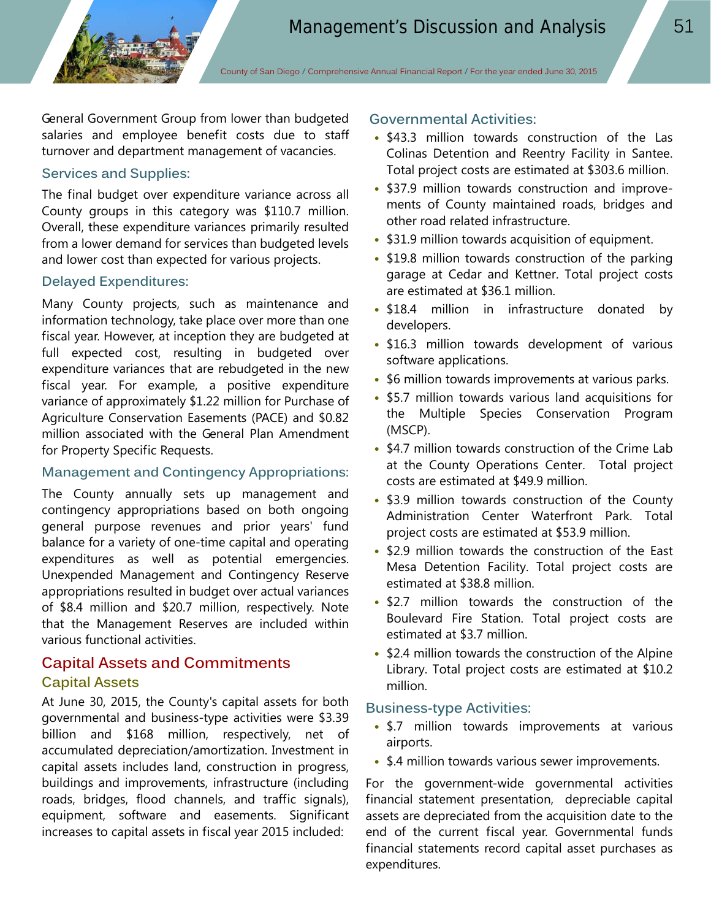General Government Group from lower than budgeted salaries and employee benefit costs due to staff turnover and department management of vacancies.

### **Services and Supplies:**

The final budget over expenditure variance across all County groups in this category was \$110.7 million. Overall, these expenditure variances primarily resulted from a lower demand for services than budgeted levels and lower cost than expected for various projects.

#### **Delayed Expenditures:**

Many County projects, such as maintenance and information technology, take place over more than one fiscal year. However, at inception they are budgeted at full expected cost, resulting in budgeted over expenditure variances that are rebudgeted in the new fiscal year. For example, a positive expenditure variance of approximately \$1.22 million for Purchase of Agriculture Conservation Easements (PACE) and \$0.82 million associated with the General Plan Amendment for Property Specific Requests.

### **Management and Contingency Appropriations:**

The County annually sets up management and contingency appropriations based on both ongoing general purpose revenues and prior years' fund balance for a variety of one-time capital and operating expenditures as well as potential emergencies. Unexpended Management and Contingency Reserve appropriations resulted in budget over actual variances of \$8.4 million and \$20.7 million, respectively. Note that the Management Reserves are included within various functional activities.

### **Capital Assets and Commitments Capital Assets**

At June 30, 2015, the County's capital assets for both governmental and business-type activities were \$3.39 billion and \$168 million, respectively, net of accumulated depreciation/amortization. Investment in capital assets includes land, construction in progress, buildings and improvements, infrastructure (including roads, bridges, flood channels, and traffic signals), equipment, software and easements. Significant increases to capital assets in fiscal year 2015 included:

#### **Governmental Activities:**

- \$43.3 million towards construction of the Las Colinas Detention and Reentry Facility in Santee. Total project costs are estimated at \$303.6 million.
- \$37.9 million towards construction and improvements of County maintained roads, bridges and other road related infrastructure.
- \$31.9 million towards acquisition of equipment.
- \$19.8 million towards construction of the parking garage at Cedar and Kettner. Total project costs are estimated at \$36.1 million.
- \$18.4 million in infrastructure donated by developers.
- \$16.3 million towards development of various software applications.
- \$6 million towards improvements at various parks.
- \$5.7 million towards various land acquisitions for the Multiple Species Conservation Program (MSCP).
- \$4.7 million towards construction of the Crime Lab at the County Operations Center. Total project costs are estimated at \$49.9 million.
- \$3.9 million towards construction of the County Administration Center Waterfront Park. Total project costs are estimated at \$53.9 million.
- \$2.9 million towards the construction of the East Mesa Detention Facility. Total project costs are estimated at \$38.8 million.
- \$2.7 million towards the construction of the Boulevard Fire Station. Total project costs are estimated at \$3.7 million.
- \$2.4 million towards the construction of the Alpine Library. Total project costs are estimated at \$10.2 million.

### **Business-type Activities:**

- \$.7 million towards improvements at various airports.
- \$.4 million towards various sewer improvements.

For the government-wide governmental activities financial statement presentation, depreciable capital assets are depreciated from the acquisition date to the end of the current fiscal year. Governmental funds financial statements record capital asset purchases as expenditures.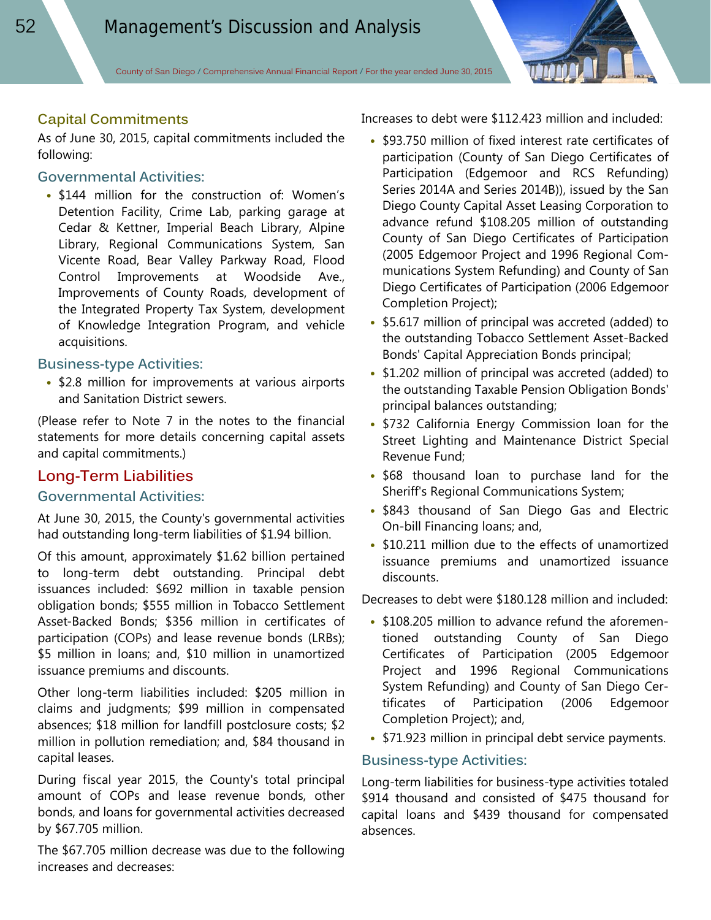County of San Diego **/** Comprehensive Annual Financial Report **/** For the year ended June 30, 2015

### **Capital Commitments**

As of June 30, 2015, capital commitments included the following:

**Governmental Activities:**

• \$144 million for the construction of: Women's Detention Facility, Crime Lab, parking garage at Cedar & Kettner, Imperial Beach Library, Alpine Library, Regional Communications System, San Vicente Road, Bear Valley Parkway Road, Flood Control Improvements at Woodside Ave., Improvements of County Roads, development of the Integrated Property Tax System, development of Knowledge Integration Program, and vehicle acquisitions.

#### **Business-type Activities:**

• \$2.8 million for improvements at various airports and Sanitation District sewers.

(Please refer to Note 7 in the notes to the financial statements for more details concerning capital assets and capital commitments.)

### **Long-Term Liabilities**

#### **Governmental Activities:**

At June 30, 2015, the County's governmental activities had outstanding long-term liabilities of \$1.94 billion.

Of this amount, approximately \$1.62 billion pertained to long-term debt outstanding. Principal debt issuances included: \$692 million in taxable pension obligation bonds; \$555 million in Tobacco Settlement Asset-Backed Bonds; \$356 million in certificates of participation (COPs) and lease revenue bonds (LRBs); \$5 million in loans; and, \$10 million in unamortized issuance premiums and discounts.

Other long-term liabilities included: \$205 million in claims and judgments; \$99 million in compensated absences; \$18 million for landfill postclosure costs; \$2 million in pollution remediation; and, \$84 thousand in capital leases.

During fiscal year 2015, the County's total principal amount of COPs and lease revenue bonds, other bonds, and loans for governmental activities decreased by \$67.705 million.

The \$67.705 million decrease was due to the following increases and decreases:

Increases to debt were \$112.423 million and included:

- \$93.750 million of fixed interest rate certificates of participation (County of San Diego Certificates of Participation (Edgemoor and RCS Refunding) Series 2014A and Series 2014B)), issued by the San Diego County Capital Asset Leasing Corporation to advance refund \$108.205 million of outstanding County of San Diego Certificates of Participation (2005 Edgemoor Project and 1996 Regional Communications System Refunding) and County of San Diego Certificates of Participation (2006 Edgemoor Completion Project);
- \$5.617 million of principal was accreted (added) to the outstanding Tobacco Settlement Asset-Backed Bonds' Capital Appreciation Bonds principal;
- \$1.202 million of principal was accreted (added) to the outstanding Taxable Pension Obligation Bonds' principal balances outstanding;
- \$732 California Energy Commission loan for the Street Lighting and Maintenance District Special Revenue Fund;
- \$68 thousand loan to purchase land for the Sheriff's Regional Communications System;
- \$843 thousand of San Diego Gas and Electric On-bill Financing loans; and,
- \$10.211 million due to the effects of unamortized issuance premiums and unamortized issuance discounts.

Decreases to debt were \$180.128 million and included:

- \$108.205 million to advance refund the aforementioned outstanding County of San Diego Certificates of Participation (2005 Edgemoor Project and 1996 Regional Communications System Refunding) and County of San Diego Certificates of Participation (2006 Edgemoor Completion Project); and,
- \$71.923 million in principal debt service payments.

### **Business-type Activities:**

Long-term liabilities for business-type activities totaled \$914 thousand and consisted of \$475 thousand for capital loans and \$439 thousand for compensated absences.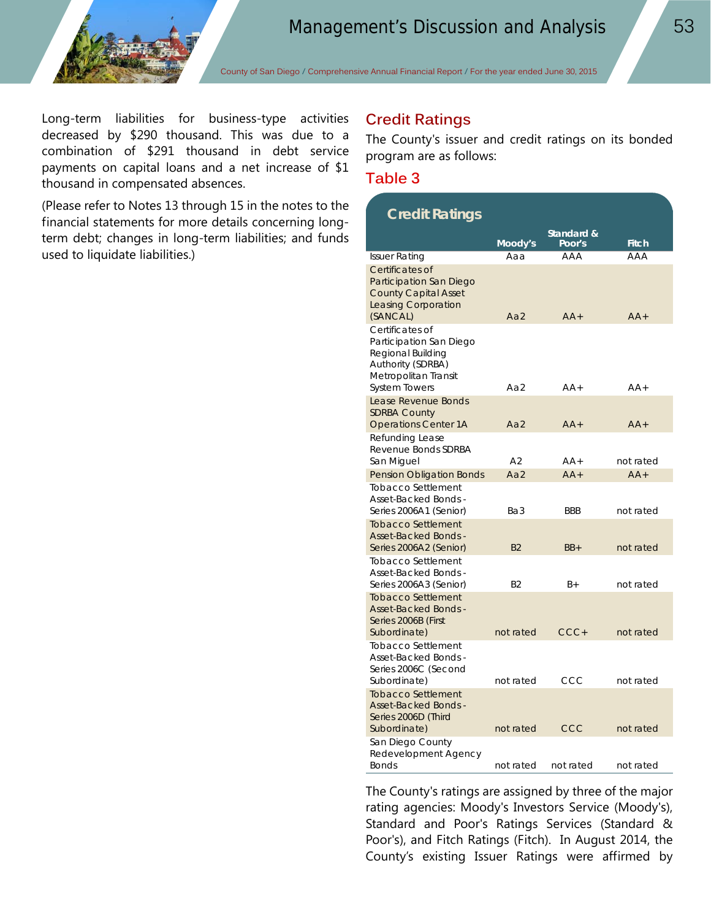Long-term liabilities for business-type activities decreased by \$290 thousand. This was due to a combination of \$291 thousand in debt service payments on capital loans and a net increase of \$1 thousand in compensated absences.

(Please refer to Notes 13 through 15 in the notes to the financial statements for more details concerning longterm debt; changes in long-term liabilities; and funds used to liquidate liabilities.)

## **Credit Ratings**

The County's issuer and credit ratings on its bonded program are as follows:

### **Table 3**

| <b>Credit Ratings</b>                                                                                                         |                |                      |           |
|-------------------------------------------------------------------------------------------------------------------------------|----------------|----------------------|-----------|
|                                                                                                                               | Moody's        | Standard &<br>Poor's | Fitch     |
| <b>Issuer Rating</b>                                                                                                          | Ааа            | AAA                  | AAA       |
| Certificates of<br>Participation San Diego<br><b>County Capital Asset</b><br><b>Leasing Corporation</b><br>(SANCAL)           | Aa $2$         | $AA+$                | $AA+$     |
| Certificates of<br>Participation San Diego<br>Regional Building<br>Authority (SDRBA)<br>Metropolitan Transit<br>System Towers | Aa2            | $AA+$                | $AA+$     |
| Lease Revenue Bonds<br><b>SDRBA County</b><br><b>Operations Center 1A</b>                                                     | Aa2            | $AA+$                | $AA+$     |
| Refunding Lease<br>Revenue Bonds SDRBA<br>San Miguel                                                                          | A <sub>2</sub> | $AA+$                | not rated |
| <b>Pension Obligation Bonds</b>                                                                                               | Aa2            | $AA+$                | $AA+$     |
| Tobacco Settlement<br>Asset-Backed Bonds -<br>Series 2006A1 (Senior)                                                          | Ba3            | <b>BBB</b>           | not rated |
| <b>Tobacco Settlement</b><br><b>Asset-Backed Bonds -</b><br>Series 2006A2 (Senior)                                            | <b>B2</b>      | $BB+$                | not rated |
| <b>Tobacco Settlement</b><br>Asset-Backed Bonds -<br>Series 2006A3 (Senior)                                                   | B <sub>2</sub> | B+                   | not rated |
| <b>Tobacco Settlement</b><br><b>Asset-Backed Bonds -</b><br>Series 2006B (First<br>Subordinate)                               | not rated      | $CCC+$               | not rated |
| <b>Tobacco Settlement</b><br><b>Asset-Backed Bonds -</b><br>Series 2006C (Second<br>Subordinate)                              | not rated      | CCC                  | not rated |
| <b>Tobacco Settlement</b><br><b>Asset-Backed Bonds -</b><br>Series 2006D (Third<br>Subordinate)                               | not rated      | CCC                  | not rated |
| San Diego County<br>Redevelopment Agency<br>Bonds                                                                             | not rated      | not rated            | not rated |

The County's ratings are assigned by three of the major rating agencies: Moody's Investors Service (Moody's), Standard and Poor's Ratings Services (Standard & Poor's), and Fitch Ratings (Fitch). In August 2014, the County's existing Issuer Ratings were affirmed by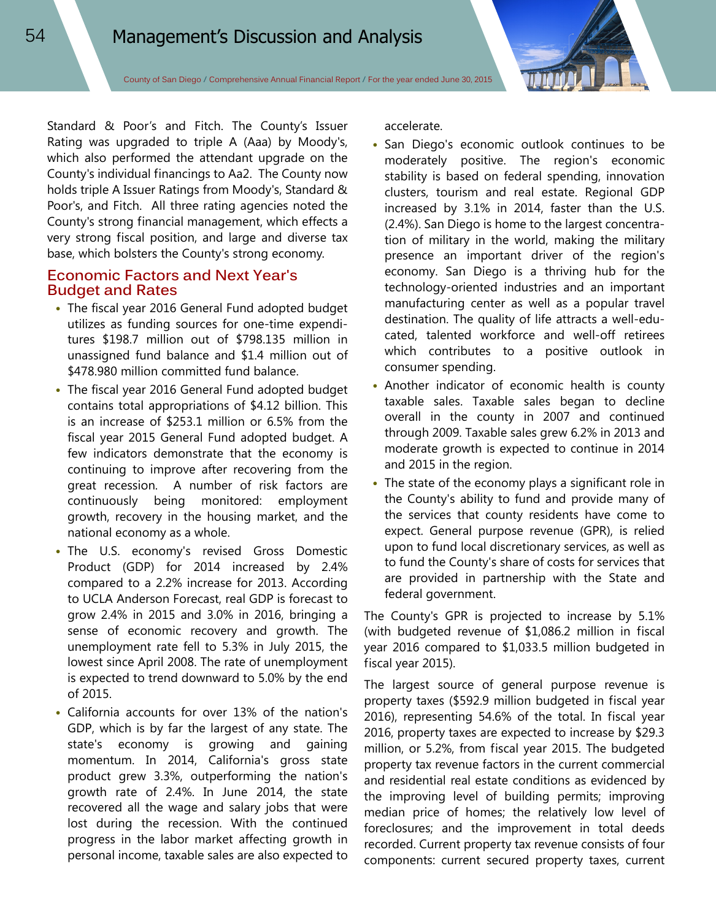County of San Diego **/** Comprehensive Annual Financial Report **/** For the year ended June 30, 2015



Standard & Poor's and Fitch. The County's Issuer Rating was upgraded to triple A (Aaa) by Moody's, which also performed the attendant upgrade on the County's individual financings to Aa2. The County now holds triple A Issuer Ratings from Moody's, Standard & Poor's, and Fitch. All three rating agencies noted the County's strong financial management, which effects a very strong fiscal position, and large and diverse tax base, which bolsters the County's strong economy.

### **Economic Factors and Next Year's Budget and Rates**

- The fiscal year 2016 General Fund adopted budget utilizes as funding sources for one-time expenditures \$198.7 million out of \$798.135 million in unassigned fund balance and \$1.4 million out of \$478.980 million committed fund balance.
- The fiscal year 2016 General Fund adopted budget contains total appropriations of \$4.12 billion. This is an increase of \$253.1 million or 6.5% from the fiscal year 2015 General Fund adopted budget. A few indicators demonstrate that the economy is continuing to improve after recovering from the great recession. A number of risk factors are continuously being monitored: employment growth, recovery in the housing market, and the national economy as a whole.
- The U.S. economy's revised Gross Domestic Product (GDP) for 2014 increased by 2.4% compared to a 2.2% increase for 2013. According to UCLA Anderson Forecast, real GDP is forecast to grow 2.4% in 2015 and 3.0% in 2016, bringing a sense of economic recovery and growth. The unemployment rate fell to 5.3% in July 2015, the lowest since April 2008. The rate of unemployment is expected to trend downward to 5.0% by the end of 2015.
- California accounts for over 13% of the nation's GDP, which is by far the largest of any state. The state's economy is growing and gaining momentum. In 2014, California's gross state product grew 3.3%, outperforming the nation's growth rate of 2.4%. In June 2014, the state recovered all the wage and salary jobs that were lost during the recession. With the continued progress in the labor market affecting growth in personal income, taxable sales are also expected to

accelerate.

- San Diego's economic outlook continues to be moderately positive. The region's economic stability is based on federal spending, innovation clusters, tourism and real estate. Regional GDP increased by 3.1% in 2014, faster than the U.S. (2.4%). San Diego is home to the largest concentration of military in the world, making the military presence an important driver of the region's economy. San Diego is a thriving hub for the technology-oriented industries and an important manufacturing center as well as a popular travel destination. The quality of life attracts a well-educated, talented workforce and well-off retirees which contributes to a positive outlook in consumer spending.
- Another indicator of economic health is county taxable sales. Taxable sales began to decline overall in the county in 2007 and continued through 2009. Taxable sales grew 6.2% in 2013 and moderate growth is expected to continue in 2014 and 2015 in the region.
- The state of the economy plays a significant role in the County's ability to fund and provide many of the services that county residents have come to expect. General purpose revenue (GPR), is relied upon to fund local discretionary services, as well as to fund the County's share of costs for services that are provided in partnership with the State and federal government.

The County's GPR is projected to increase by 5.1% (with budgeted revenue of \$1,086.2 million in fiscal year 2016 compared to \$1,033.5 million budgeted in fiscal year 2015).

The largest source of general purpose revenue is property taxes (\$592.9 million budgeted in fiscal year 2016), representing 54.6% of the total. In fiscal year 2016, property taxes are expected to increase by \$29.3 million, or 5.2%, from fiscal year 2015. The budgeted property tax revenue factors in the current commercial and residential real estate conditions as evidenced by the improving level of building permits; improving median price of homes; the relatively low level of foreclosures; and the improvement in total deeds recorded. Current property tax revenue consists of four components: current secured property taxes, current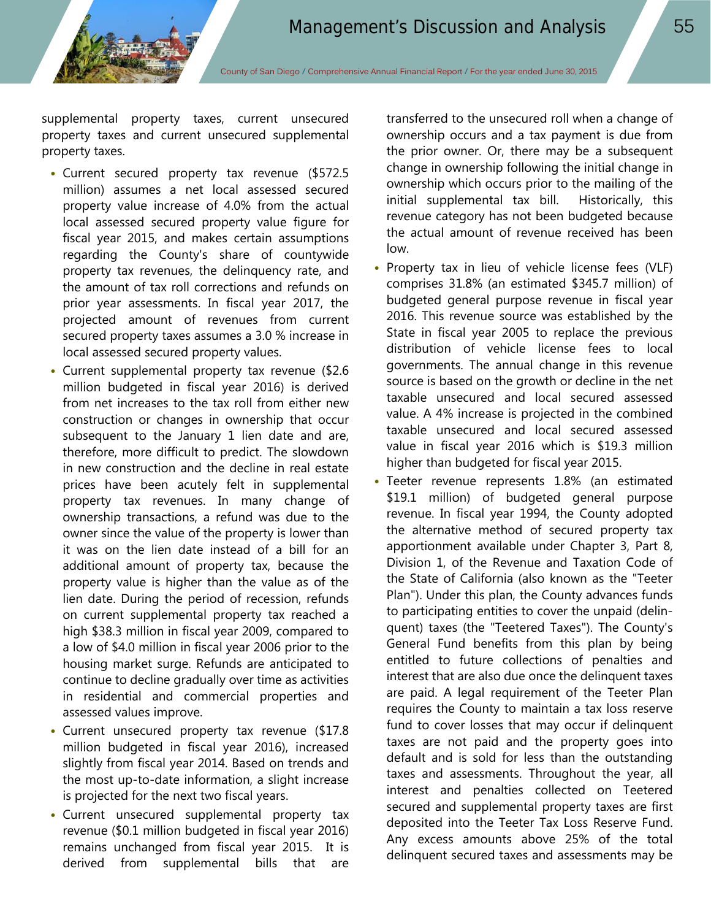supplemental property taxes, current unsecured property taxes and current unsecured supplemental property taxes.

- Current secured property tax revenue (\$572.5 million) assumes a net local assessed secured property value increase of 4.0% from the actual local assessed secured property value figure for fiscal year 2015, and makes certain assumptions regarding the County's share of countywide property tax revenues, the delinquency rate, and the amount of tax roll corrections and refunds on prior year assessments. In fiscal year 2017, the projected amount of revenues from current secured property taxes assumes a 3.0 % increase in local assessed secured property values.
- Current supplemental property tax revenue (\$2.6 million budgeted in fiscal year 2016) is derived from net increases to the tax roll from either new construction or changes in ownership that occur subsequent to the January 1 lien date and are, therefore, more difficult to predict. The slowdown in new construction and the decline in real estate prices have been acutely felt in supplemental property tax revenues. In many change of ownership transactions, a refund was due to the owner since the value of the property is lower than it was on the lien date instead of a bill for an additional amount of property tax, because the property value is higher than the value as of the lien date. During the period of recession, refunds on current supplemental property tax reached a high \$38.3 million in fiscal year 2009, compared to a low of \$4.0 million in fiscal year 2006 prior to the housing market surge. Refunds are anticipated to continue to decline gradually over time as activities in residential and commercial properties and assessed values improve.
- Current unsecured property tax revenue (\$17.8 million budgeted in fiscal year 2016), increased slightly from fiscal year 2014. Based on trends and the most up-to-date information, a slight increase is projected for the next two fiscal years.
- Current unsecured supplemental property tax revenue (\$0.1 million budgeted in fiscal year 2016) remains unchanged from fiscal year 2015. It is derived from supplemental bills that are

transferred to the unsecured roll when a change of ownership occurs and a tax payment is due from the prior owner. Or, there may be a subsequent change in ownership following the initial change in ownership which occurs prior to the mailing of the initial supplemental tax bill. Historically, this revenue category has not been budgeted because the actual amount of revenue received has been low.

- Property tax in lieu of vehicle license fees (VLF) comprises 31.8% (an estimated \$345.7 million) of budgeted general purpose revenue in fiscal year 2016. This revenue source was established by the State in fiscal year 2005 to replace the previous distribution of vehicle license fees to local governments. The annual change in this revenue source is based on the growth or decline in the net taxable unsecured and local secured assessed value. A 4% increase is projected in the combined taxable unsecured and local secured assessed value in fiscal year 2016 which is \$19.3 million higher than budgeted for fiscal year 2015.
- Teeter revenue represents 1.8% (an estimated \$19.1 million) of budgeted general purpose revenue. In fiscal year 1994, the County adopted the alternative method of secured property tax apportionment available under Chapter 3, Part 8, Division 1, of the Revenue and Taxation Code of the State of California (also known as the "Teeter Plan"). Under this plan, the County advances funds to participating entities to cover the unpaid (delinquent) taxes (the "Teetered Taxes"). The County's General Fund benefits from this plan by being entitled to future collections of penalties and interest that are also due once the delinquent taxes are paid. A legal requirement of the Teeter Plan requires the County to maintain a tax loss reserve fund to cover losses that may occur if delinquent taxes are not paid and the property goes into default and is sold for less than the outstanding taxes and assessments. Throughout the year, all interest and penalties collected on Teetered secured and supplemental property taxes are first deposited into the Teeter Tax Loss Reserve Fund. Any excess amounts above 25% of the total delinquent secured taxes and assessments may be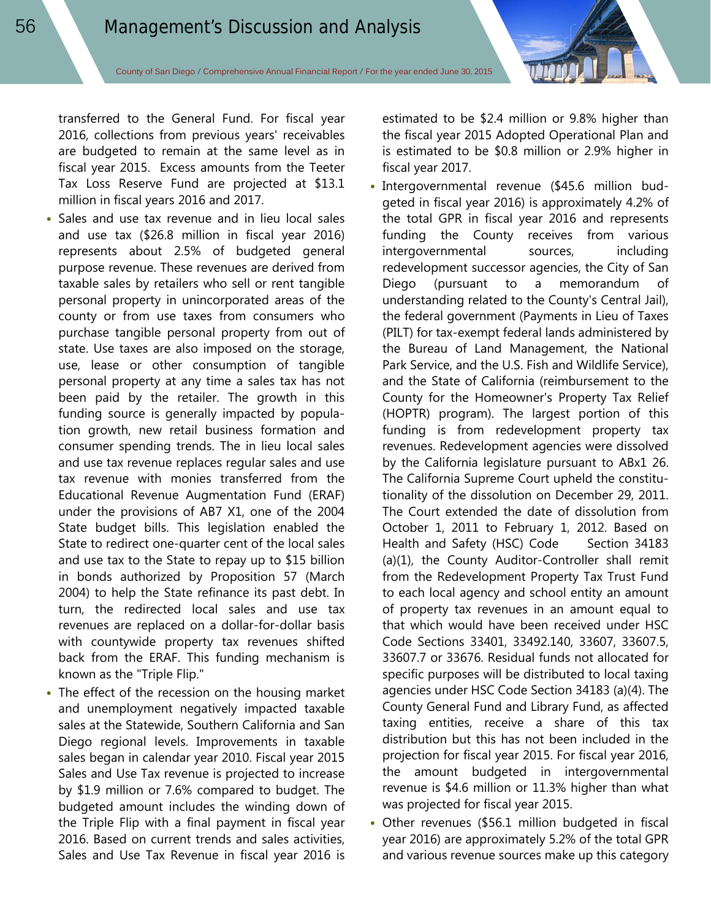transferred to the General Fund. For fiscal year 2016, collections from previous years' receivables are budgeted to remain at the same level as in fiscal year 2015. Excess amounts from the Teeter Tax Loss Reserve Fund are projected at \$13.1 million in fiscal years 2016 and 2017.

- Sales and use tax revenue and in lieu local sales and use tax (\$26.8 million in fiscal year 2016) represents about 2.5% of budgeted general purpose revenue. These revenues are derived from taxable sales by retailers who sell or rent tangible personal property in unincorporated areas of the county or from use taxes from consumers who purchase tangible personal property from out of state. Use taxes are also imposed on the storage, use, lease or other consumption of tangible personal property at any time a sales tax has not been paid by the retailer. The growth in this funding source is generally impacted by population growth, new retail business formation and consumer spending trends. The in lieu local sales and use tax revenue replaces regular sales and use tax revenue with monies transferred from the Educational Revenue Augmentation Fund (ERAF) under the provisions of AB7 X1, one of the 2004 State budget bills. This legislation enabled the State to redirect one-quarter cent of the local sales and use tax to the State to repay up to \$15 billion in bonds authorized by Proposition 57 (March 2004) to help the State refinance its past debt. In turn, the redirected local sales and use tax revenues are replaced on a dollar-for-dollar basis with countywide property tax revenues shifted back from the ERAF. This funding mechanism is known as the "Triple Flip."
- The effect of the recession on the housing market and unemployment negatively impacted taxable sales at the Statewide, Southern California and San Diego regional levels. Improvements in taxable sales began in calendar year 2010. Fiscal year 2015 Sales and Use Tax revenue is projected to increase by \$1.9 million or 7.6% compared to budget. The budgeted amount includes the winding down of the Triple Flip with a final payment in fiscal year 2016. Based on current trends and sales activities, Sales and Use Tax Revenue in fiscal year 2016 is

estimated to be \$2.4 million or 9.8% higher than the fiscal year 2015 Adopted Operational Plan and is estimated to be \$0.8 million or 2.9% higher in fiscal year 2017.

- Intergovernmental revenue (\$45.6 million budgeted in fiscal year 2016) is approximately 4.2% of the total GPR in fiscal year 2016 and represents funding the County receives from various intergovernmental sources, including redevelopment successor agencies, the City of San Diego (pursuant to a memorandum of understanding related to the County's Central Jail), the federal government (Payments in Lieu of Taxes (PILT) for tax-exempt federal lands administered by the Bureau of Land Management, the National Park Service, and the U.S. Fish and Wildlife Service), and the State of California (reimbursement to the County for the Homeowner's Property Tax Relief (HOPTR) program). The largest portion of this funding is from redevelopment property tax revenues. Redevelopment agencies were dissolved by the California legislature pursuant to ABx1 26. The California Supreme Court upheld the constitutionality of the dissolution on December 29, 2011. The Court extended the date of dissolution from October 1, 2011 to February 1, 2012. Based on Health and Safety (HSC) Code Section 34183 (a)(1), the County Auditor-Controller shall remit from the Redevelopment Property Tax Trust Fund to each local agency and school entity an amount of property tax revenues in an amount equal to that which would have been received under HSC Code Sections 33401, 33492.140, 33607, 33607.5, 33607.7 or 33676. Residual funds not allocated for specific purposes will be distributed to local taxing agencies under HSC Code Section 34183 (a)(4). The County General Fund and Library Fund, as affected taxing entities, receive a share of this tax distribution but this has not been included in the projection for fiscal year 2015. For fiscal year 2016, the amount budgeted in intergovernmental revenue is \$4.6 million or 11.3% higher than what was projected for fiscal year 2015.
- Other revenues (\$56.1 million budgeted in fiscal year 2016) are approximately 5.2% of the total GPR and various revenue sources make up this category